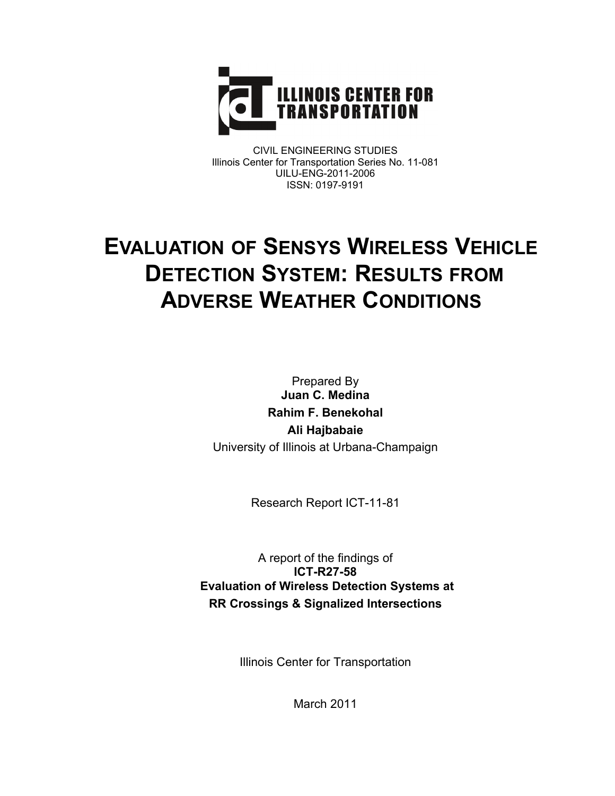

CIVIL ENGINEERING STUDIES Illinois Center for Transportation Series No. 11-081 UILU-ENG-2011-2006 ISSN: 0197-9191

# **EVALUATION OF SENSYS WIRELESS VEHICLE DETECTION SYSTEM: RESULTS FROM ADVERSE WEATHER CONDITIONS**

Prepared By **Juan C. Medina Rahim F. Benekohal Ali Hajbabaie**  University of Illinois at Urbana-Champaign

Research Report ICT-11-81

A report of the findings of **ICT-R27-58 Evaluation of Wireless Detection Systems at RR Crossings & Signalized Intersections** 

Illinois Center for Transportation

March 2011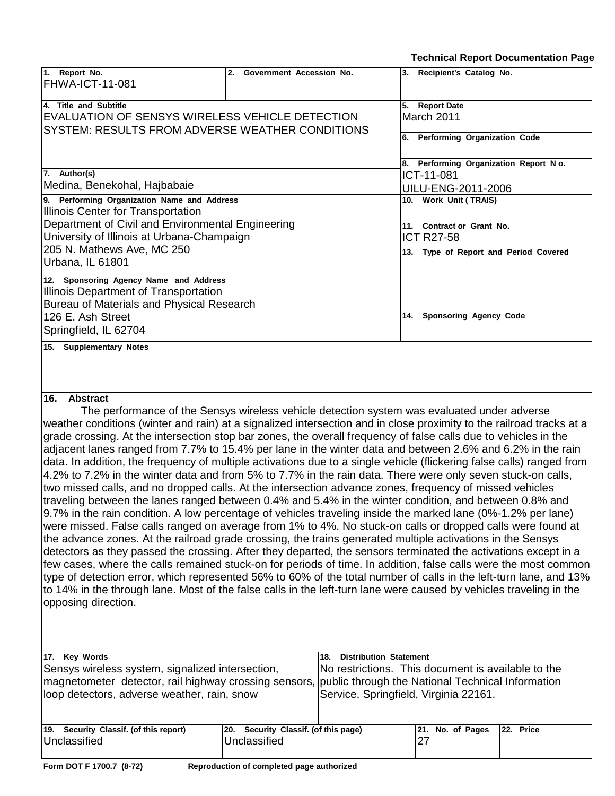**Technical Report Documentation Page**

| 1. Report No.<br>FHWA-ICT-11-081                                                                        | 2. Government Accession No. | 3. Recipient's Catalog No.                                                                                            |
|---------------------------------------------------------------------------------------------------------|-----------------------------|-----------------------------------------------------------------------------------------------------------------------|
| 4. Title and Subtitle                                                                                   |                             | 5. Report Date                                                                                                        |
| EVALUATION OF SENSYS WIRELESS VEHICLE DETECTION                                                         |                             | March 2011                                                                                                            |
| <b>SYSTEM: RESULTS FROM ADVERSE WEATHER CONDITIONS</b>                                                  |                             |                                                                                                                       |
|                                                                                                         |                             | 6. Performing Organization Code                                                                                       |
|                                                                                                         |                             | 8. Performing Organization Report No.                                                                                 |
| 7. Author(s)                                                                                            |                             | ICT-11-081                                                                                                            |
| Medina, Benekohal, Hajbabaie                                                                            |                             | UILU-ENG-2011-2006                                                                                                    |
| 9. Performing Organization Name and Address                                                             |                             | 10. Work Unit (TRAIS)                                                                                                 |
| Illinois Center for Transportation                                                                      |                             |                                                                                                                       |
| Department of Civil and Environmental Engineering                                                       |                             | 11. Contract or Grant No.                                                                                             |
| University of Illinois at Urbana-Champaign                                                              |                             | <b>ICT R27-58</b>                                                                                                     |
| 205 N. Mathews Ave, MC 250                                                                              |                             | 13. Type of Report and Period Covered                                                                                 |
| Urbana, IL 61801                                                                                        |                             |                                                                                                                       |
|                                                                                                         |                             |                                                                                                                       |
| 12. Sponsoring Agency Name and Address                                                                  |                             |                                                                                                                       |
| Illinois Department of Transportation                                                                   |                             |                                                                                                                       |
| Bureau of Materials and Physical Research                                                               |                             |                                                                                                                       |
| 126 E. Ash Street                                                                                       |                             | 14. Sponsoring Agency Code                                                                                            |
| Springfield, IL 62704                                                                                   |                             |                                                                                                                       |
| 15. Supplementary Notes                                                                                 |                             |                                                                                                                       |
|                                                                                                         |                             |                                                                                                                       |
|                                                                                                         |                             |                                                                                                                       |
|                                                                                                         |                             |                                                                                                                       |
| 16. Abstract                                                                                            |                             |                                                                                                                       |
|                                                                                                         |                             | The performance of the Sensys wireless vehicle detection system was evaluated under adverse                           |
|                                                                                                         |                             | weather conditions (winter and rain) at a signalized intersection and in close proximity to the railroad tracks at a  |
|                                                                                                         |                             | grade crossing. At the intersection stop bar zones, the overall frequency of false calls due to vehicles in the       |
|                                                                                                         |                             | adjacent lanes ranged from 7.7% to 15.4% per lane in the winter data and between 2.6% and 6.2% in the rain            |
|                                                                                                         |                             | data. In addition, the frequency of multiple activations due to a single vehicle (flickering false calls) ranged from |
|                                                                                                         |                             | 4.2% to 7.2% in the winter data and from 5% to 7.7% in the rain data. There were only seven stuck-on calls,           |
| two missed calls, and no dropped calls. At the intersection advance zones, frequency of missed vehicles |                             |                                                                                                                       |
|                                                                                                         |                             | traveling between the lanes ranged between 0.4% and 5.4% in the winter condition, and between 0.8% and                |
|                                                                                                         |                             | 9.7% in the rain condition. A low percentage of vehicles traveling inside the marked lane (0%-1.2% per lane)          |

were missed. False calls ranged on average from 1% to 4%. No stuck-on calls or dropped calls were found at the advance zones. At the railroad grade crossing, the trains generated multiple activations in the Sensys detectors as they passed the crossing. After they departed, the sensors terminated the activations except in a few cases, where the calls remained stuck-on for periods of time. In addition, false calls were the most common type of detection error, which represented 56% to 60% of the total number of calls in the left-turn lane, and 13% to 14% in the through lane. Most of the false calls in the left-turn lane were caused by vehicles traveling in the opposing direction.

| 17. Key Words<br>Sensys wireless system, signalized intersection,<br>magnetometer detector, rail highway crossing sensors, public through the National Technical Information<br>loop detectors, adverse weather, rain, snow |                                                      | <b>Distribution Statement</b><br>18.<br>No restrictions. This document is available to the<br>Service, Springfield, Virginia 22161. |                  |           |
|-----------------------------------------------------------------------------------------------------------------------------------------------------------------------------------------------------------------------------|------------------------------------------------------|-------------------------------------------------------------------------------------------------------------------------------------|------------------|-----------|
| 19. Security Classif. (of this report)<br>Unclassified                                                                                                                                                                      | 20. Security Classif. (of this page)<br>Unclassified |                                                                                                                                     | 21. No. of Pages | 22. Price |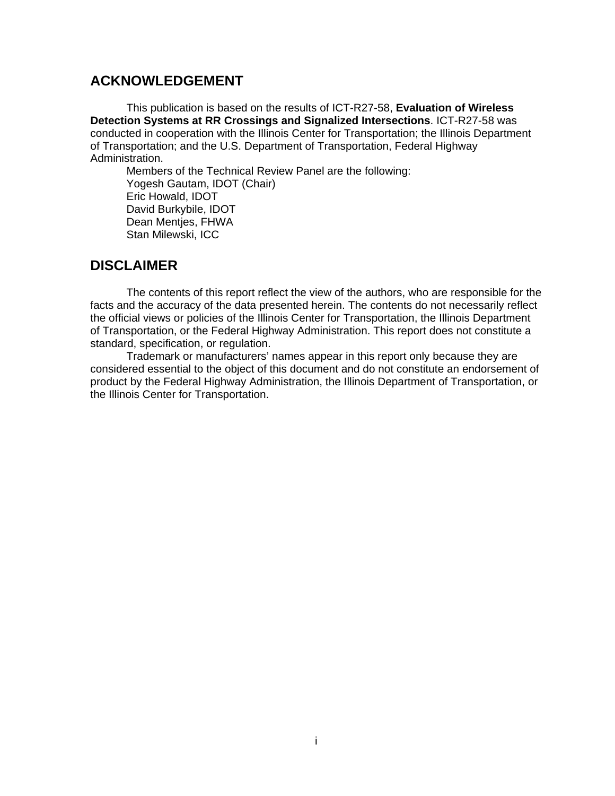## **ACKNOWLEDGEMENT**

This publication is based on the results of ICT-R27-58, **Evaluation of Wireless Detection Systems at RR Crossings and Signalized Intersections**. ICT-R27-58 was conducted in cooperation with the Illinois Center for Transportation; the Illinois Department of Transportation; and the U.S. Department of Transportation, Federal Highway Administration.

Members of the Technical Review Panel are the following: Yogesh Gautam, IDOT (Chair) Eric Howald, IDOT David Burkybile, IDOT Dean Mentjes, FHWA Stan Milewski, ICC

## **DISCLAIMER**

The contents of this report reflect the view of the authors, who are responsible for the facts and the accuracy of the data presented herein. The contents do not necessarily reflect the official views or policies of the Illinois Center for Transportation, the Illinois Department of Transportation, or the Federal Highway Administration. This report does not constitute a standard, specification, or regulation.

Trademark or manufacturers' names appear in this report only because they are considered essential to the object of this document and do not constitute an endorsement of product by the Federal Highway Administration, the Illinois Department of Transportation, or the Illinois Center for Transportation.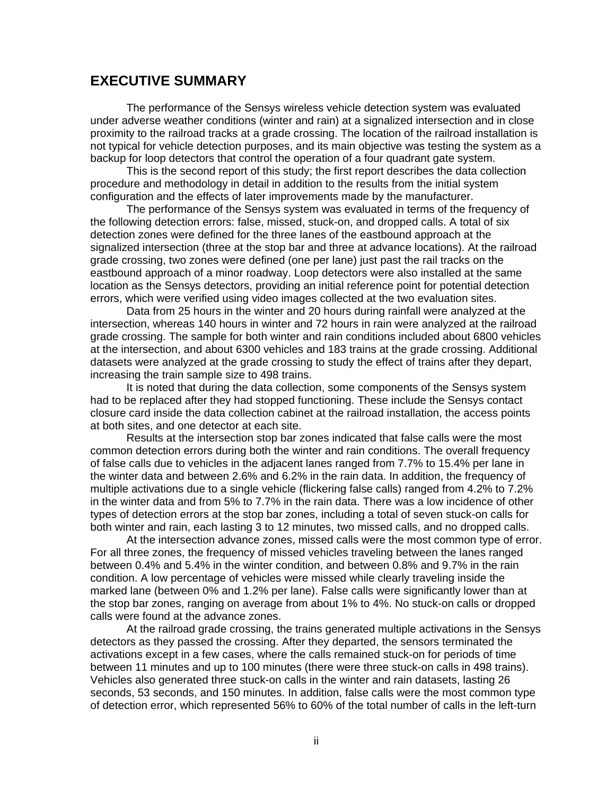#### **EXECUTIVE SUMMARY**

The performance of the Sensys wireless vehicle detection system was evaluated under adverse weather conditions (winter and rain) at a signalized intersection and in close proximity to the railroad tracks at a grade crossing. The location of the railroad installation is not typical for vehicle detection purposes, and its main objective was testing the system as a backup for loop detectors that control the operation of a four quadrant gate system.

This is the second report of this study; the first report describes the data collection procedure and methodology in detail in addition to the results from the initial system configuration and the effects of later improvements made by the manufacturer.

 The performance of the Sensys system was evaluated in terms of the frequency of the following detection errors: false, missed, stuck-on, and dropped calls. A total of six detection zones were defined for the three lanes of the eastbound approach at the signalized intersection (three at the stop bar and three at advance locations). At the railroad grade crossing, two zones were defined (one per lane) just past the rail tracks on the eastbound approach of a minor roadway. Loop detectors were also installed at the same location as the Sensys detectors, providing an initial reference point for potential detection errors, which were verified using video images collected at the two evaluation sites.

 Data from 25 hours in the winter and 20 hours during rainfall were analyzed at the intersection, whereas 140 hours in winter and 72 hours in rain were analyzed at the railroad grade crossing. The sample for both winter and rain conditions included about 6800 vehicles at the intersection, and about 6300 vehicles and 183 trains at the grade crossing. Additional datasets were analyzed at the grade crossing to study the effect of trains after they depart, increasing the train sample size to 498 trains.

 It is noted that during the data collection, some components of the Sensys system had to be replaced after they had stopped functioning. These include the Sensys contact closure card inside the data collection cabinet at the railroad installation, the access points at both sites, and one detector at each site.

 Results at the intersection stop bar zones indicated that false calls were the most common detection errors during both the winter and rain conditions. The overall frequency of false calls due to vehicles in the adjacent lanes ranged from 7.7% to 15.4% per lane in the winter data and between 2.6% and 6.2% in the rain data. In addition, the frequency of multiple activations due to a single vehicle (flickering false calls) ranged from 4.2% to 7.2% in the winter data and from 5% to 7.7% in the rain data. There was a low incidence of other types of detection errors at the stop bar zones, including a total of seven stuck-on calls for both winter and rain, each lasting 3 to 12 minutes, two missed calls, and no dropped calls.

 At the intersection advance zones, missed calls were the most common type of error. For all three zones, the frequency of missed vehicles traveling between the lanes ranged between 0.4% and 5.4% in the winter condition, and between 0.8% and 9.7% in the rain condition. A low percentage of vehicles were missed while clearly traveling inside the marked lane (between 0% and 1.2% per lane). False calls were significantly lower than at the stop bar zones, ranging on average from about 1% to 4%. No stuck-on calls or dropped calls were found at the advance zones.

 At the railroad grade crossing, the trains generated multiple activations in the Sensys detectors as they passed the crossing. After they departed, the sensors terminated the activations except in a few cases, where the calls remained stuck-on for periods of time between 11 minutes and up to 100 minutes (there were three stuck-on calls in 498 trains). Vehicles also generated three stuck-on calls in the winter and rain datasets, lasting 26 seconds, 53 seconds, and 150 minutes. In addition, false calls were the most common type of detection error, which represented 56% to 60% of the total number of calls in the left-turn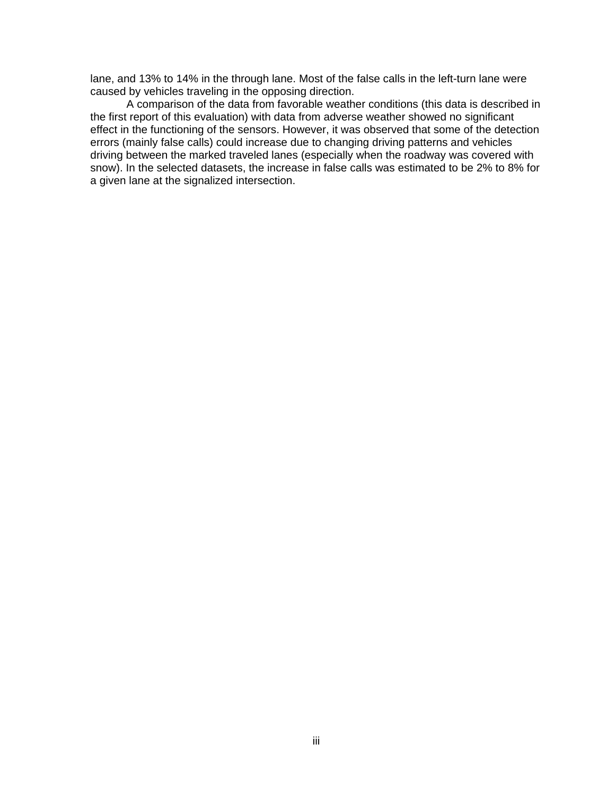lane, and 13% to 14% in the through lane. Most of the false calls in the left-turn lane were caused by vehicles traveling in the opposing direction.

 A comparison of the data from favorable weather conditions (this data is described in the first report of this evaluation) with data from adverse weather showed no significant effect in the functioning of the sensors. However, it was observed that some of the detection errors (mainly false calls) could increase due to changing driving patterns and vehicles driving between the marked traveled lanes (especially when the roadway was covered with snow). In the selected datasets, the increase in false calls was estimated to be 2% to 8% for a given lane at the signalized intersection.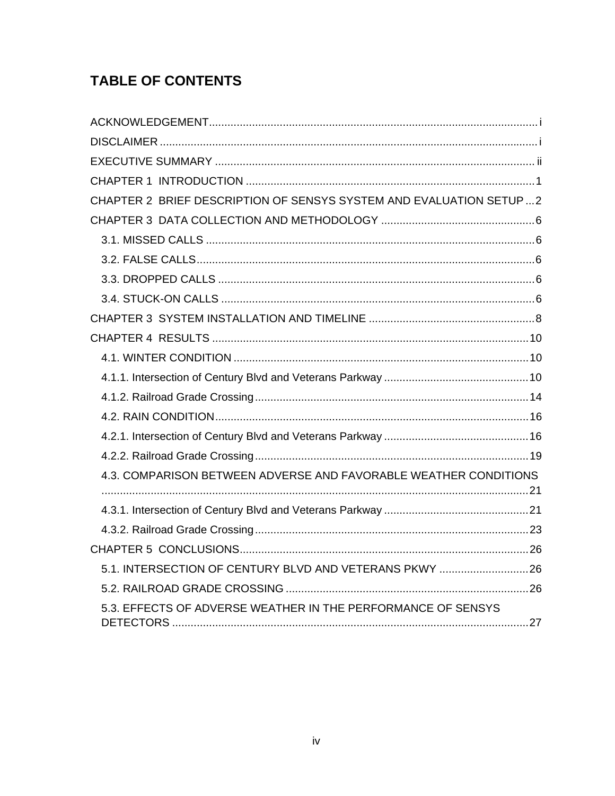## **TABLE OF CONTENTS**

| CHAPTER 2 BRIEF DESCRIPTION OF SENSYS SYSTEM AND EVALUATION SETUP2 |  |
|--------------------------------------------------------------------|--|
|                                                                    |  |
|                                                                    |  |
|                                                                    |  |
|                                                                    |  |
|                                                                    |  |
|                                                                    |  |
|                                                                    |  |
|                                                                    |  |
|                                                                    |  |
|                                                                    |  |
|                                                                    |  |
|                                                                    |  |
|                                                                    |  |
| 4.3. COMPARISON BETWEEN ADVERSE AND FAVORABLE WEATHER CONDITIONS   |  |
|                                                                    |  |
|                                                                    |  |
|                                                                    |  |
| 5.1. INTERSECTION OF CENTURY BLVD AND VETERANS PKWY  26            |  |
|                                                                    |  |
| 5.3. EFFECTS OF ADVERSE WEATHER IN THE PERFORMANCE OF SENSYS       |  |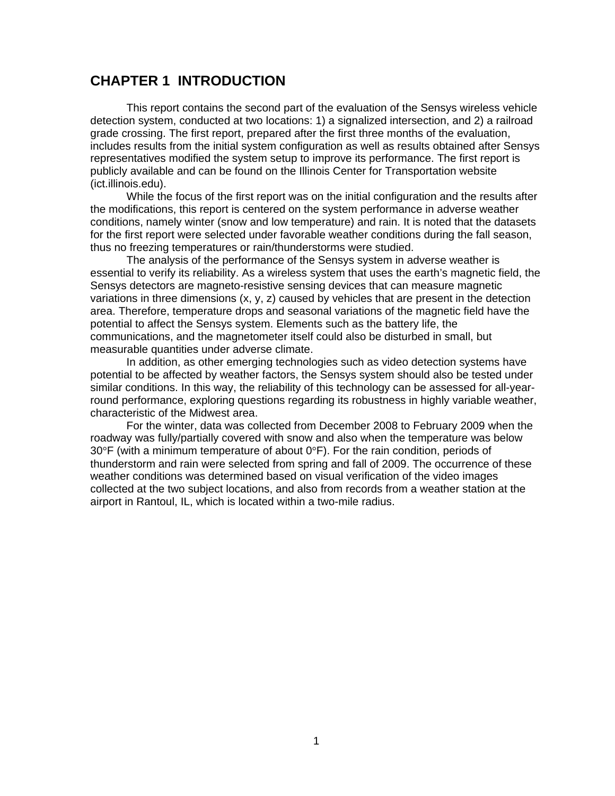## **CHAPTER 1 INTRODUCTION**

This report contains the second part of the evaluation of the Sensys wireless vehicle detection system, conducted at two locations: 1) a signalized intersection, and 2) a railroad grade crossing. The first report, prepared after the first three months of the evaluation, includes results from the initial system configuration as well as results obtained after Sensys representatives modified the system setup to improve its performance. The first report is publicly available and can be found on the Illinois Center for Transportation website (ict.illinois.edu).

While the focus of the first report was on the initial configuration and the results after the modifications, this report is centered on the system performance in adverse weather conditions, namely winter (snow and low temperature) and rain. It is noted that the datasets for the first report were selected under favorable weather conditions during the fall season, thus no freezing temperatures or rain/thunderstorms were studied.

The analysis of the performance of the Sensys system in adverse weather is essential to verify its reliability. As a wireless system that uses the earth's magnetic field, the Sensys detectors are magneto-resistive sensing devices that can measure magnetic variations in three dimensions (x, y, z) caused by vehicles that are present in the detection area. Therefore, temperature drops and seasonal variations of the magnetic field have the potential to affect the Sensys system. Elements such as the battery life, the communications, and the magnetometer itself could also be disturbed in small, but measurable quantities under adverse climate.

In addition, as other emerging technologies such as video detection systems have potential to be affected by weather factors, the Sensys system should also be tested under similar conditions. In this way, the reliability of this technology can be assessed for all-yearround performance, exploring questions regarding its robustness in highly variable weather, characteristic of the Midwest area.

 For the winter, data was collected from December 2008 to February 2009 when the roadway was fully/partially covered with snow and also when the temperature was below 30 $\degree$ F (with a minimum temperature of about 0 $\degree$ F). For the rain condition, periods of thunderstorm and rain were selected from spring and fall of 2009. The occurrence of these weather conditions was determined based on visual verification of the video images collected at the two subject locations, and also from records from a weather station at the airport in Rantoul, IL, which is located within a two-mile radius.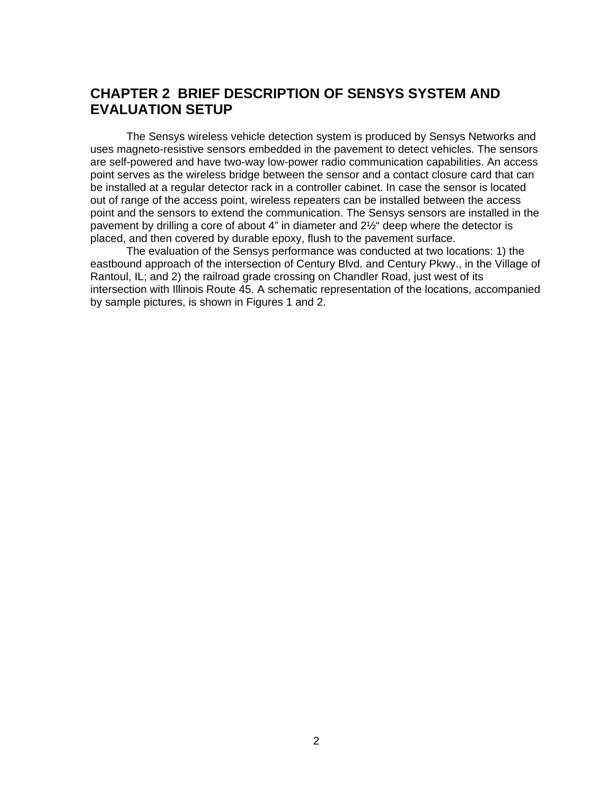## **CHAPTER 2 BRIEF DESCRIPTION OF SENSYS SYSTEM AND EVALUATION SETUP**

The Sensys wireless vehicle detection system is produced by Sensys Networks and uses magneto-resistive sensors embedded in the pavement to detect vehicles. The sensors are self-powered and have two-way low-power radio communication capabilities. An access point serves as the wireless bridge between the sensor and a contact closure card that can be installed at a regular detector rack in a controller cabinet. In case the sensor is located out of range of the access point, wireless repeaters can be installed between the access point and the sensors to extend the communication. The Sensys sensors are installed in the pavement by drilling a core of about 4" in diameter and 2½" deep where the detector is placed, and then covered by durable epoxy, flush to the pavement surface.

 The evaluation of the Sensys performance was conducted at two locations: 1) the eastbound approach of the intersection of Century Blvd. and Century Pkwy., in the Village of Rantoul, IL; and 2) the railroad grade crossing on Chandler Road, just west of its intersection with Illinois Route 45. A schematic representation of the locations, accompanied by sample pictures, is shown in Figures 1 and 2.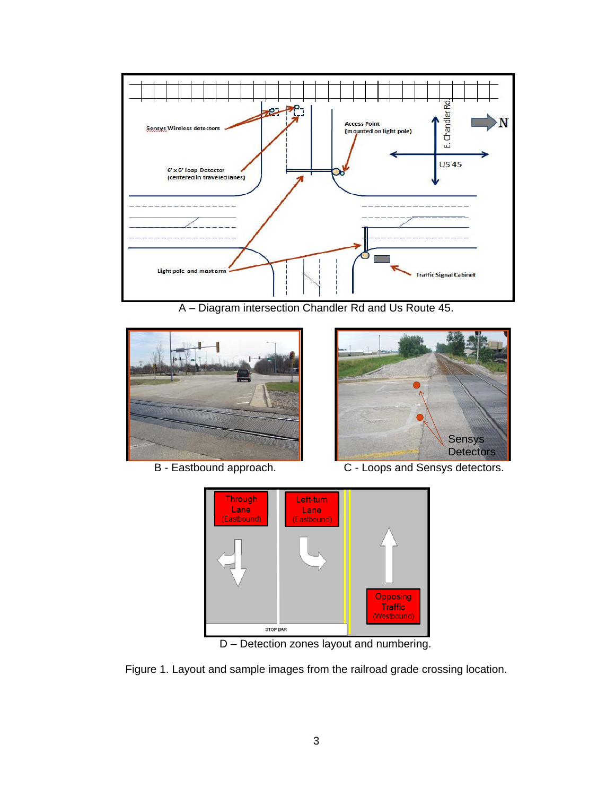

A – Diagram intersection Chandler Rd and Us Route 45.





B - Eastbound approach. C - Loops and Sensys detectors.



D – Detection zones layout and numbering.

Figure 1. Layout and sample images from the railroad grade crossing location.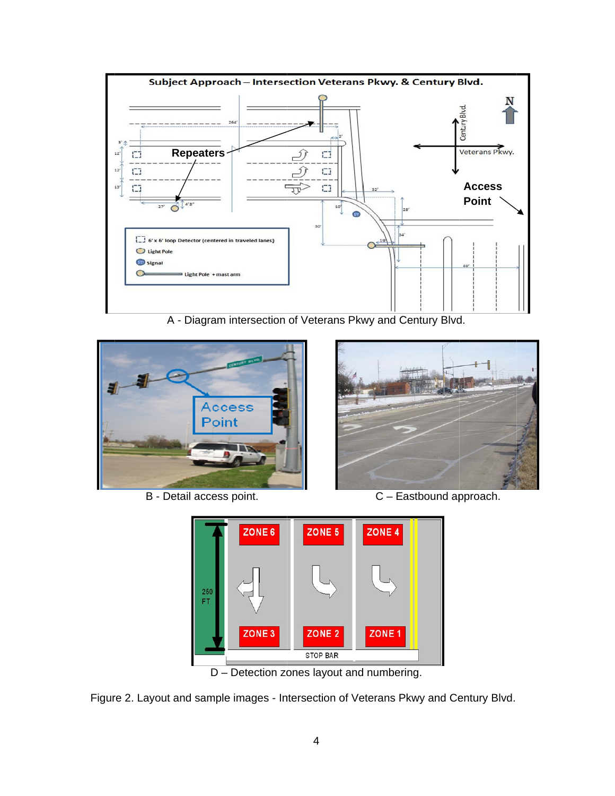

A - Diagram intersection of Veterans Pkwy and Century Blvd.



B - De tail access point.



C – E Eastbound ap pproach.



D – Detection zones layout and numbering.

Figure 2. Layout and sample images - Intersection of Veterans Pkwy and Century Blvd.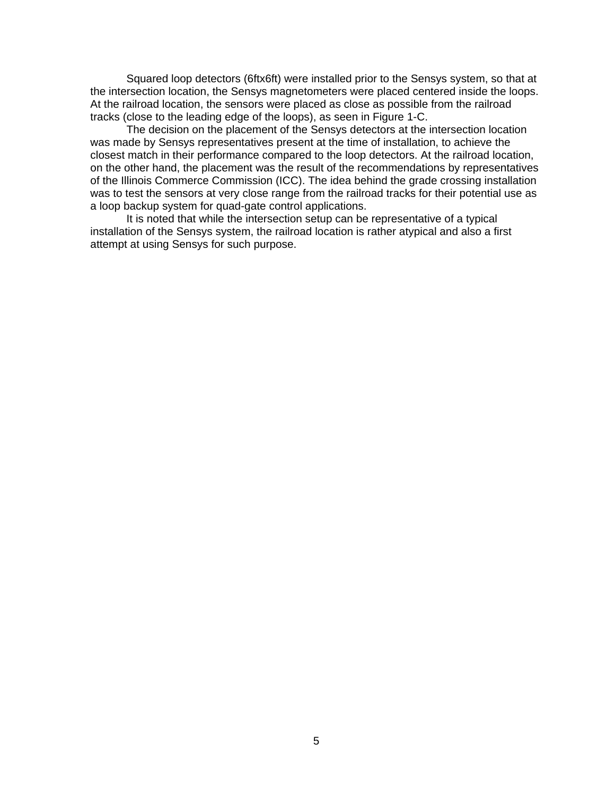Squared loop detectors (6ftx6ft) were installed prior to the Sensys system, so that at the intersection location, the Sensys magnetometers were placed centered inside the loops. At the railroad location, the sensors were placed as close as possible from the railroad tracks (close to the leading edge of the loops), as seen in Figure 1-C.

The decision on the placement of the Sensys detectors at the intersection location was made by Sensys representatives present at the time of installation, to achieve the closest match in their performance compared to the loop detectors. At the railroad location, on the other hand, the placement was the result of the recommendations by representatives of the Illinois Commerce Commission (ICC). The idea behind the grade crossing installation was to test the sensors at very close range from the railroad tracks for their potential use as a loop backup system for quad-gate control applications.

It is noted that while the intersection setup can be representative of a typical installation of the Sensys system, the railroad location is rather atypical and also a first attempt at using Sensys for such purpose.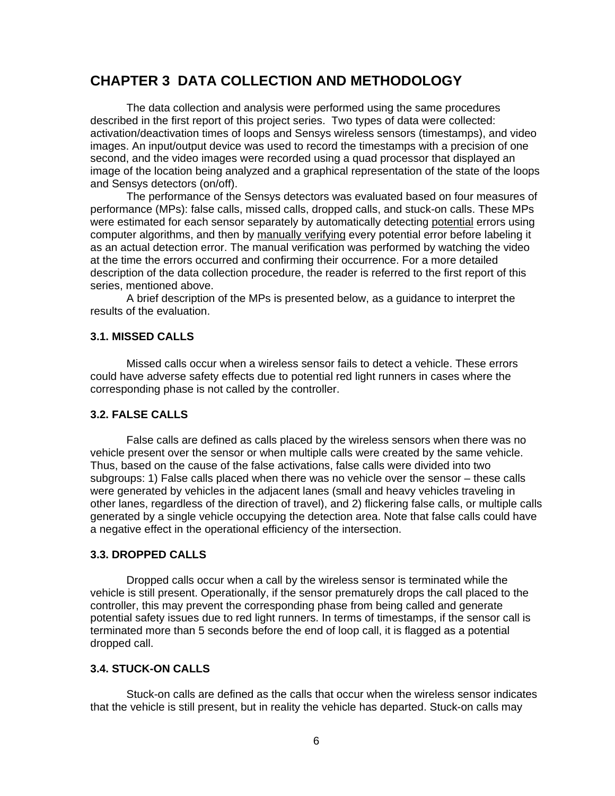## **CHAPTER 3 DATA COLLECTION AND METHODOLOGY**

The data collection and analysis were performed using the same procedures described in the first report of this project series. Two types of data were collected: activation/deactivation times of loops and Sensys wireless sensors (timestamps), and video images. An input/output device was used to record the timestamps with a precision of one second, and the video images were recorded using a quad processor that displayed an image of the location being analyzed and a graphical representation of the state of the loops and Sensys detectors (on/off).

 The performance of the Sensys detectors was evaluated based on four measures of performance (MPs): false calls, missed calls, dropped calls, and stuck-on calls. These MPs were estimated for each sensor separately by automatically detecting potential errors using computer algorithms, and then by manually verifying every potential error before labeling it as an actual detection error. The manual verification was performed by watching the video at the time the errors occurred and confirming their occurrence. For a more detailed description of the data collection procedure, the reader is referred to the first report of this series, mentioned above.

 A brief description of the MPs is presented below, as a guidance to interpret the results of the evaluation.

#### **3.1. MISSED CALLS**

Missed calls occur when a wireless sensor fails to detect a vehicle. These errors could have adverse safety effects due to potential red light runners in cases where the corresponding phase is not called by the controller.

#### **3.2. FALSE CALLS**

False calls are defined as calls placed by the wireless sensors when there was no vehicle present over the sensor or when multiple calls were created by the same vehicle. Thus, based on the cause of the false activations, false calls were divided into two subgroups: 1) False calls placed when there was no vehicle over the sensor – these calls were generated by vehicles in the adjacent lanes (small and heavy vehicles traveling in other lanes, regardless of the direction of travel), and 2) flickering false calls, or multiple calls generated by a single vehicle occupying the detection area. Note that false calls could have a negative effect in the operational efficiency of the intersection.

#### **3.3. DROPPED CALLS**

Dropped calls occur when a call by the wireless sensor is terminated while the vehicle is still present. Operationally, if the sensor prematurely drops the call placed to the controller, this may prevent the corresponding phase from being called and generate potential safety issues due to red light runners. In terms of timestamps, if the sensor call is terminated more than 5 seconds before the end of loop call, it is flagged as a potential dropped call.

#### **3.4. STUCK-ON CALLS**

Stuck-on calls are defined as the calls that occur when the wireless sensor indicates that the vehicle is still present, but in reality the vehicle has departed. Stuck-on calls may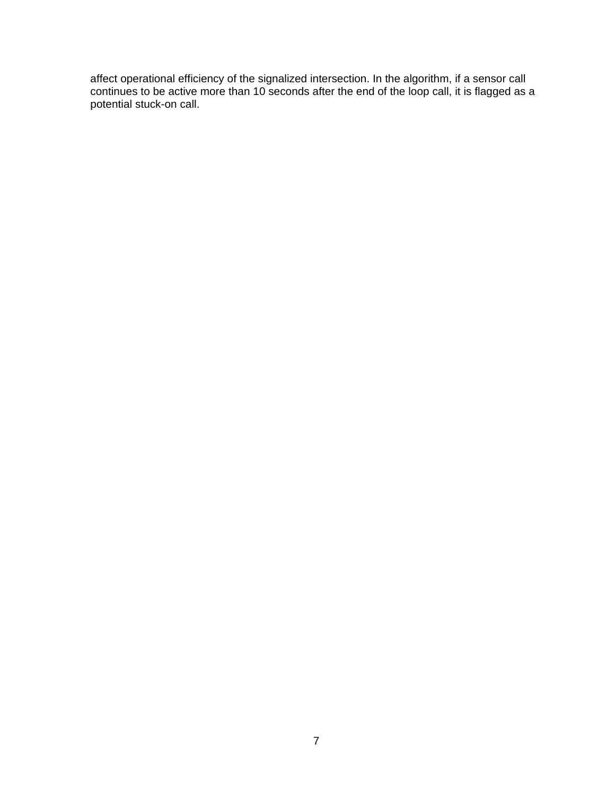affect operational efficiency of the signalized intersection. In the algorithm, if a sensor call continues to be active more than 10 seconds after the end of the loop call, it is flagged as a potential stuck-on call.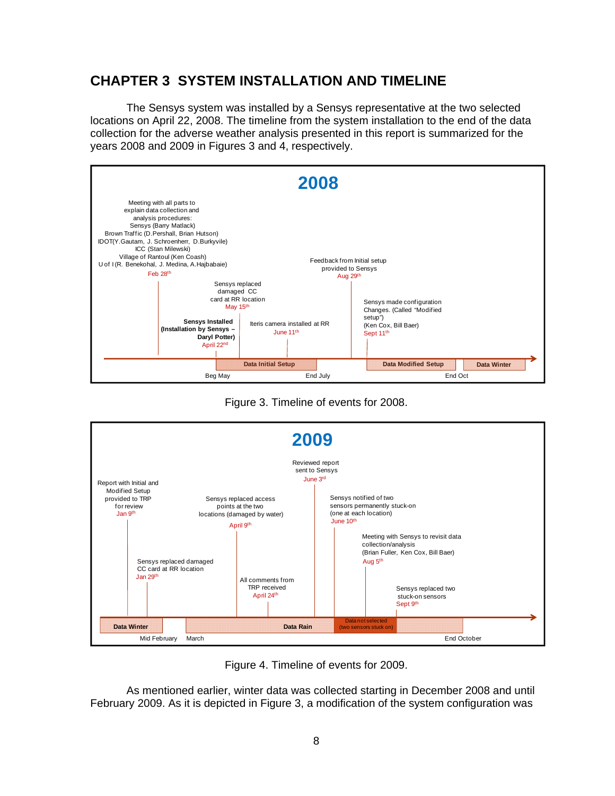## **CHAPTER 3 SYSTEM INSTALLATION AND TIMELINE**

The Sensys system was installed by a Sensys representative at the two selected locations on April 22, 2008. The timeline from the system installation to the end of the data collection for the adverse weather analysis presented in this report is summarized for the years 2008 and 2009 in Figures 3 and 4, respectively.







Figure 4. Timeline of events for 2009.

As mentioned earlier, winter data was collected starting in December 2008 and until February 2009. As it is depicted in Figure 3, a modification of the system configuration was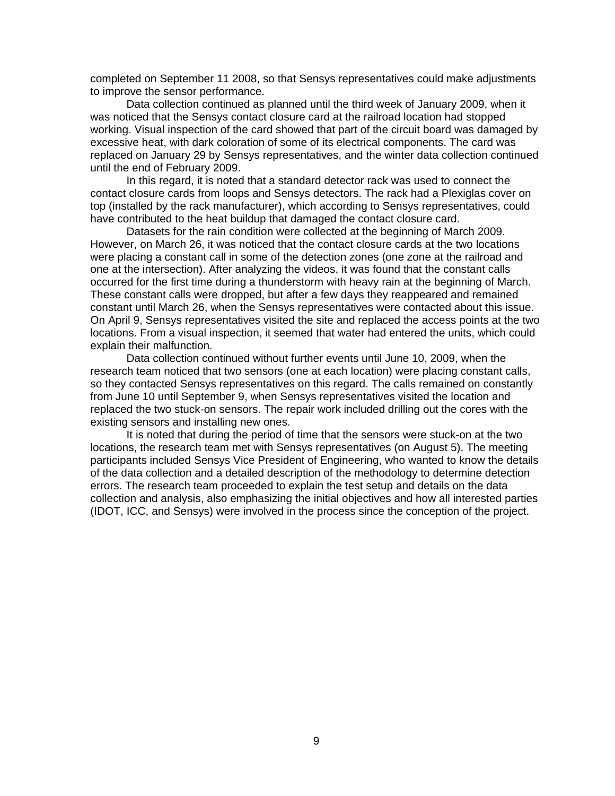completed on September 11 2008, so that Sensys representatives could make adjustments to improve the sensor performance.

 Data collection continued as planned until the third week of January 2009, when it was noticed that the Sensys contact closure card at the railroad location had stopped working. Visual inspection of the card showed that part of the circuit board was damaged by excessive heat, with dark coloration of some of its electrical components. The card was replaced on January 29 by Sensys representatives, and the winter data collection continued until the end of February 2009.

In this regard, it is noted that a standard detector rack was used to connect the contact closure cards from loops and Sensys detectors. The rack had a Plexiglas cover on top (installed by the rack manufacturer), which according to Sensys representatives, could have contributed to the heat buildup that damaged the contact closure card.

 Datasets for the rain condition were collected at the beginning of March 2009. However, on March 26, it was noticed that the contact closure cards at the two locations were placing a constant call in some of the detection zones (one zone at the railroad and one at the intersection). After analyzing the videos, it was found that the constant calls occurred for the first time during a thunderstorm with heavy rain at the beginning of March. These constant calls were dropped, but after a few days they reappeared and remained constant until March 26, when the Sensys representatives were contacted about this issue. On April 9, Sensys representatives visited the site and replaced the access points at the two locations. From a visual inspection, it seemed that water had entered the units, which could explain their malfunction.

 Data collection continued without further events until June 10, 2009, when the research team noticed that two sensors (one at each location) were placing constant calls, so they contacted Sensys representatives on this regard. The calls remained on constantly from June 10 until September 9, when Sensys representatives visited the location and replaced the two stuck-on sensors. The repair work included drilling out the cores with the existing sensors and installing new ones.

 It is noted that during the period of time that the sensors were stuck-on at the two locations, the research team met with Sensys representatives (on August 5). The meeting participants included Sensys Vice President of Engineering, who wanted to know the details of the data collection and a detailed description of the methodology to determine detection errors. The research team proceeded to explain the test setup and details on the data collection and analysis, also emphasizing the initial objectives and how all interested parties (IDOT, ICC, and Sensys) were involved in the process since the conception of the project.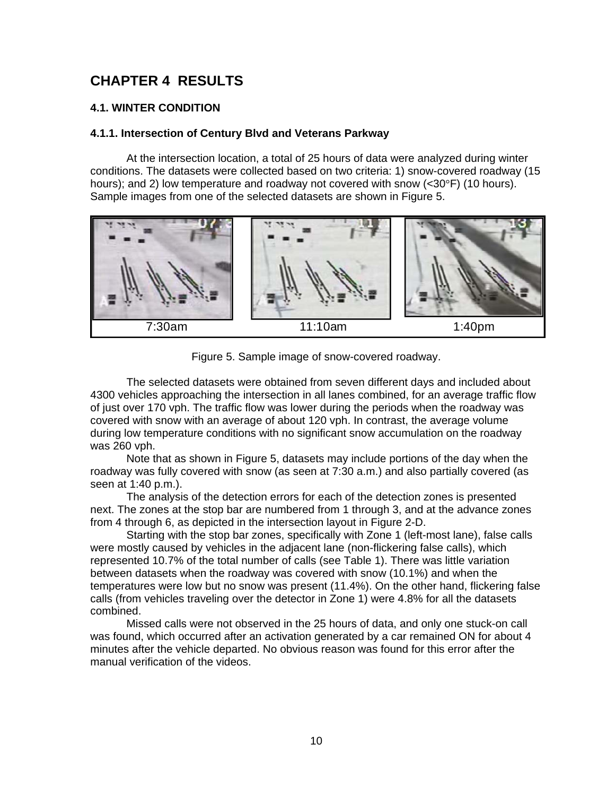## **CHAPTER 4 RESULTS**

#### **4.1. WINTER CONDITION**

#### **4.1.1. Intersection of Century Blvd and Veterans Parkway**

At the intersection location, a total of 25 hours of data were analyzed during winter conditions. The datasets were collected based on two criteria: 1) snow-covered roadway (15 hours); and 2) low temperature and roadway not covered with snow (<30°F) (10 hours). Sample images from one of the selected datasets are shown in Figure 5.



Figure 5. Sample image of snow-covered roadway.

The selected datasets were obtained from seven different days and included about 4300 vehicles approaching the intersection in all lanes combined, for an average traffic flow of just over 170 vph. The traffic flow was lower during the periods when the roadway was covered with snow with an average of about 120 vph. In contrast, the average volume during low temperature conditions with no significant snow accumulation on the roadway was 260 vph.

Note that as shown in Figure 5, datasets may include portions of the day when the roadway was fully covered with snow (as seen at 7:30 a.m.) and also partially covered (as seen at 1:40 p.m.).

The analysis of the detection errors for each of the detection zones is presented next. The zones at the stop bar are numbered from 1 through 3, and at the advance zones from 4 through 6, as depicted in the intersection layout in Figure 2-D.

 Starting with the stop bar zones, specifically with Zone 1 (left-most lane), false calls were mostly caused by vehicles in the adjacent lane (non-flickering false calls), which represented 10.7% of the total number of calls (see Table 1). There was little variation between datasets when the roadway was covered with snow (10.1%) and when the temperatures were low but no snow was present (11.4%). On the other hand, flickering false calls (from vehicles traveling over the detector in Zone 1) were 4.8% for all the datasets combined.

Missed calls were not observed in the 25 hours of data, and only one stuck-on call was found, which occurred after an activation generated by a car remained ON for about 4 minutes after the vehicle departed. No obvious reason was found for this error after the manual verification of the videos.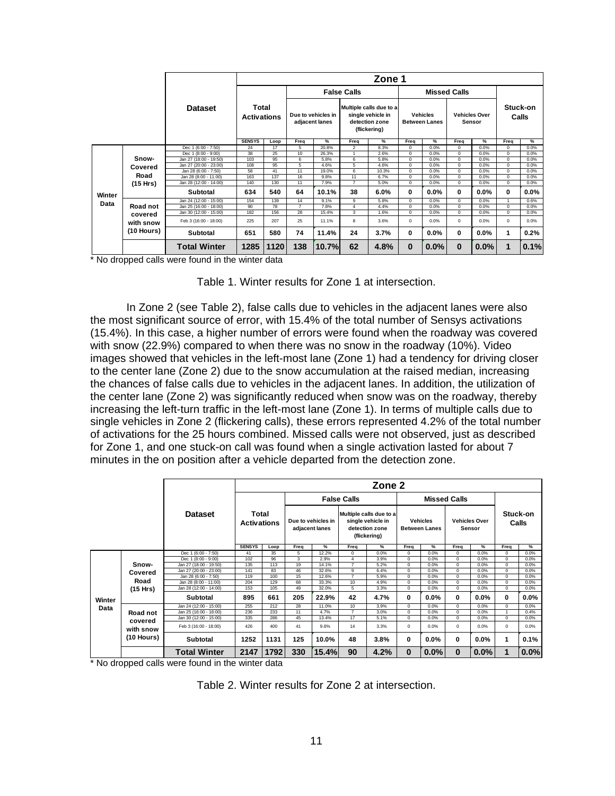|        |            |                         |               |                                                            |                |                                                                                |                    | Zone 1                                  |             |                                       |             |                   |          |               |
|--------|------------|-------------------------|---------------|------------------------------------------------------------|----------------|--------------------------------------------------------------------------------|--------------------|-----------------------------------------|-------------|---------------------------------------|-------------|-------------------|----------|---------------|
|        |            |                         |               |                                                            |                |                                                                                | <b>False Calls</b> |                                         |             | <b>Missed Calls</b>                   |             |                   |          |               |
|        |            | Total<br><b>Dataset</b> |               | Due to vehicles in<br><b>Activations</b><br>adjacent lanes |                | Multiple calls due to a<br>single vehicle in<br>detection zone<br>(flickering) |                    | <b>Vehicles</b><br><b>Between Lanes</b> |             | <b>Vehicles Over</b><br><b>Sensor</b> |             | Stuck-on<br>Calls |          |               |
|        |            |                         | <b>SENSYS</b> | Loop                                                       | Freq           | %                                                                              | Freq               | %                                       | Freq        | %                                     | Freq        | $\%$              | Freq     | $\frac{9}{6}$ |
|        |            | Dec 1 (6:00 - 7:50)     | 24            | 17                                                         | 5              | 20.8%                                                                          | $\overline{2}$     | 8.3%                                    | $\Omega$    | 0.0%                                  | $\Omega$    | 0.0%              | $\Omega$ | 0.0%          |
|        |            | Dec 1 (8:00 - 9:00)     | 38            | 25                                                         | 10             | 26.3%                                                                          | 1                  | 2.6%                                    | $\mathbf 0$ | 0.0%                                  | $\Omega$    | 0.0%              | 0        | 0.0%          |
|        | Snow-      | Jan 27 (18:00 - 19:50)  | 103           | 95                                                         | 6              | 5.8%                                                                           | 6                  | 5.8%                                    | $\Omega$    | 0.0%                                  | $\Omega$    | 0.0%              | $\Omega$ | 0.0%          |
|        | Covered    | Jan 27 (20:00 - 23:00)  | 108           | 95                                                         | 5              | 4.6%                                                                           | 5                  | 4.6%                                    | $\Omega$    | 0.0%                                  | $\mathbf 0$ | 0.0%              | $\Omega$ | 0.0%          |
|        |            | Jan 28 (6:00 - 7:50)    | 58            | 41                                                         | 11             | 19.0%                                                                          | 6                  | 10.3%                                   | $\Omega$    | 0.0%                                  | $\Omega$    | 0.0%              | $\Omega$ | 0.0%          |
|        | Road       | Jan 28 (8:00 - 11:00)   | 163           | 137                                                        | 16             | 9.8%                                                                           | 11                 | 6.7%                                    | $\Omega$    | 0.0%                                  | $\Omega$    | 0.0%              | $\Omega$ | 0.0%          |
|        | (15 Hrs)   | Jan 28 (12:00 - 14:00)  | 140           | 130                                                        | 11             | 7.9%                                                                           | $\overline{7}$     | 5.0%                                    | $\mathbf 0$ | 0.0%                                  | $\Omega$    | 0.0%              | 0        | 0.0%          |
| Winter |            | <b>Subtotal</b>         | 634           | 540                                                        | 64             | 10.1%                                                                          | 38                 | 6.0%                                    | 0           | $0.0\%$                               | 0           | $0.0\%$           | 0        | 0.0%          |
|        |            | Jan 24 (12:00 - 15:00)  | 154           | 139                                                        | 14             | 9.1%                                                                           | 9                  | 5.8%                                    | $\Omega$    | 0.0%                                  | $\Omega$    | 0.0%              |          | 0.6%          |
| Data   | Road not   | Jan 25 (16:00 - 18:00)  | 90            | 78                                                         | $\overline{7}$ | 7.8%                                                                           | 4                  | 4.4%                                    | $\Omega$    | 0.0%                                  | $\Omega$    | 0.0%              | $\Omega$ | 0.0%          |
|        | covered    | Jan 30 (12:00 - 15:00)  | 182           | 156                                                        | 28             | 15.4%                                                                          | 3                  | 1.6%                                    | $\mathbf 0$ | 0.0%                                  | $\Omega$    | 0.0%              | $\Omega$ | 0.0%          |
|        | with snow  | Feb 3 (16:00 - 18:00)   | 225           | 207                                                        | 25             | 11.1%                                                                          | 8                  | 3.6%                                    | $\Omega$    | 0.0%                                  | $\Omega$    | 0.0%              | $\Omega$ | 0.0%          |
|        | (10 Hours) | <b>Subtotal</b>         | 651           | 580                                                        | 74             | 11.4%                                                                          | 24                 | 3.7%                                    | 0           | $0.0\%$                               | 0           | 0.0%              | 1        | 0.2%          |
|        | $\sim$     | <b>Total Winter</b>     | 1285          | 1120                                                       | 138            | 10.7%                                                                          | 62                 | 4.8%                                    | $\bf{0}$    | 0.0%                                  | $\bf{0}$    | 0.0%              |          | 0.1%          |

\* No dropped calls were found in the winter data

Table 1. Winter results for Zone 1 at intersection.

In Zone 2 (see Table 2), false calls due to vehicles in the adjacent lanes were also the most significant source of error, with 15.4% of the total number of Sensys activations (15.4%). In this case, a higher number of errors were found when the roadway was covered with snow (22.9%) compared to when there was no snow in the roadway (10%). Video images showed that vehicles in the left-most lane (Zone 1) had a tendency for driving closer to the center lane (Zone 2) due to the snow accumulation at the raised median, increasing the chances of false calls due to vehicles in the adjacent lanes. In addition, the utilization of the center lane (Zone 2) was significantly reduced when snow was on the roadway, thereby increasing the left-turn traffic in the left-most lane (Zone 1). In terms of multiple calls due to single vehicles in Zone 2 (flickering calls), these errors represented 4.2% of the total number of activations for the 25 hours combined. Missed calls were not observed, just as described for Zone 1, and one stuck-on call was found when a single activation lasted for about 7 minutes in the on position after a vehicle departed from the detection zone.

|        |            |                        |                             |      |                                      |       |                                                                                | Zone 2 |                                         |         |                                |         |                   |         |
|--------|------------|------------------------|-----------------------------|------|--------------------------------------|-------|--------------------------------------------------------------------------------|--------|-----------------------------------------|---------|--------------------------------|---------|-------------------|---------|
|        |            |                        |                             |      |                                      |       | <b>False Calls</b>                                                             |        | <b>Missed Calls</b>                     |         |                                |         |                   |         |
|        |            | Dataset                | Total<br><b>Activations</b> |      | Due to vehicles in<br>adjacent lanes |       | Multiple calls due to a<br>single vehicle in<br>detection zone<br>(flickering) |        | <b>Vehicles</b><br><b>Between Lanes</b> |         | <b>Vehicles Over</b><br>Sensor |         | Stuck-on<br>Calls |         |
|        |            |                        | <b>SENSYS</b>               | Loop | Frea                                 | %     | Freq                                                                           | %      | Frea                                    | %       | Frea                           | %       | Freq              | %       |
|        |            | Dec 1 (6:00 - 7:50)    | 41                          | 35   | 5                                    | 12.2% | $^{\circ}$                                                                     | 0.0%   | 0                                       | 0.0%    | 0                              | 0.0%    | 0                 | 0.0%    |
|        |            | Dec 1 (8:00 - 9:00)    | 102                         | 96   | 3                                    | 2.9%  | $\overline{4}$                                                                 | 3.9%   | $\mathbf 0$                             | 0.0%    | $\mathbf{0}$                   | 0.0%    | 0                 | 0.0%    |
|        | Snow-      | Jan 27 (18:00 - 19:50) | 135                         | 113  | 19                                   | 14.1% | $\overline{7}$                                                                 | 5.2%   | $\Omega$                                | 0.0%    | $\Omega$                       | 0.0%    | $\Omega$          | 0.0%    |
|        | Covered    | Jan 27 (20:00 - 23:00) | 141                         | 83   | 46                                   | 32.6% | 9                                                                              | 6.4%   | $\Omega$                                | 0.0%    | $\Omega$                       | 0.0%    | $\Omega$          | 0.0%    |
|        |            | Jan 28 (6:00 - 7:50)   | 119                         | 100  | 15                                   | 12.6% | $\overline{7}$                                                                 | 5.9%   | $\Omega$                                | 0.0%    | $\Omega$                       | 0.0%    | $\Omega$          | 0.0%    |
|        | Road       | Jan 28 (8:00 - 11:00)  | 204                         | 129  | 68                                   | 33.3% | 10                                                                             | 4.9%   | $\Omega$                                | 0.0%    | $\mathbf 0$                    | 0.0%    | 0                 | 0.0%    |
|        | (15 Hrs)   | Jan 28 (12:00 - 14:00) | 153                         | 105  | 49                                   | 32.0% | 5                                                                              | 3.3%   | 0                                       | 0.0%    | $\overline{0}$                 | 0.0%    | 0                 | 0.0%    |
| Winter |            | Subtotal               | 895                         | 661  | 205                                  | 22.9% | 42                                                                             | 4.7%   | 0                                       | $0.0\%$ | 0                              | $0.0\%$ | 0                 | $0.0\%$ |
| Data   |            | Jan 24 (12:00 - 15:00) | 255                         | 212  | 28                                   | 11.0% | 10                                                                             | 3.9%   | $\Omega$                                | 0.0%    | $\Omega$                       | 0.0%    | $\Omega$          | 0.0%    |
|        | Road not   | Jan 25 (16:00 - 18:00) | 236                         | 233  | 11                                   | 4.7%  | $\overline{7}$                                                                 | 3.0%   | $\Omega$                                | 0.0%    | $\Omega$                       | 0.0%    |                   | 0.4%    |
|        | covered    | Jan 30 (12:00 - 15:00) | 335                         | 286  | 45                                   | 13.4% | 17                                                                             | 5.1%   | $\Omega$                                | 0.0%    | $\Omega$                       | 0.0%    | $\Omega$          | 0.0%    |
|        | with snow  | Feb 3 (16:00 - 18:00)  | 426                         | 400  | 41                                   | 9.6%  | 14                                                                             | 3.3%   | 0                                       | 0.0%    | 0                              | 0.0%    | $\Omega$          | 0.0%    |
|        | (10 Hours) | <b>Subtotal</b>        | 1252                        | 1131 | 125                                  | 10.0% | 48                                                                             | 3.8%   | 0                                       | $0.0\%$ | 0                              | $0.0\%$ | 1                 | 0.1%    |
|        |            | <b>Total Winter</b>    | 2147                        | 1792 | 330                                  | 15.4% | 90                                                                             | 4.2%   | $\bf{0}$                                | 0.0%    | 0                              | 0.0%    | 1                 | 0.0%    |

\* No dropped calls were found in the winter data

Table 2. Winter results for Zone 2 at intersection.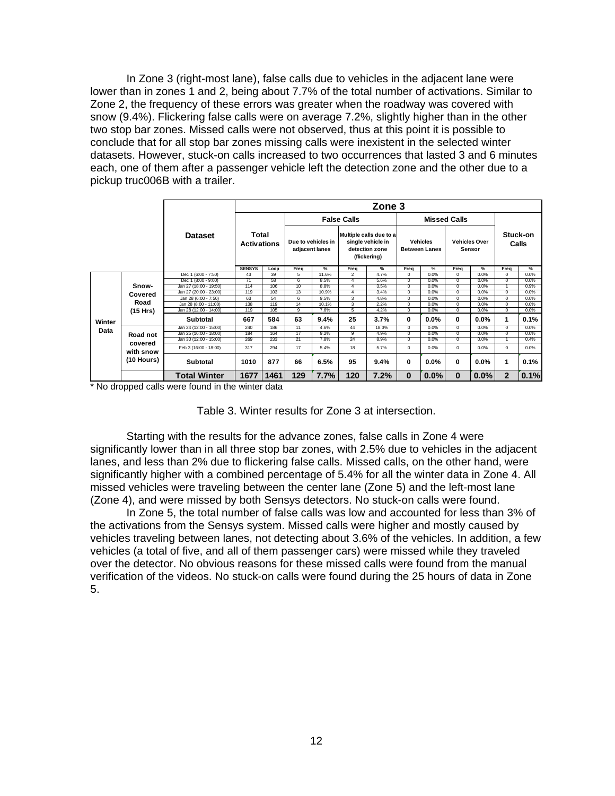In Zone 3 (right-most lane), false calls due to vehicles in the adjacent lane were lower than in zones 1 and 2, being about 7.7% of the total number of activations. Similar to Zone 2, the frequency of these errors was greater when the roadway was covered with snow (9.4%). Flickering false calls were on average 7.2%, slightly higher than in the other two stop bar zones. Missed calls were not observed, thus at this point it is possible to conclude that for all stop bar zones missing calls were inexistent in the selected winter datasets. However, stuck-on calls increased to two occurrences that lasted 3 and 6 minutes each, one of them after a passenger vehicle left the detection zone and the other due to a pickup truc006B with a trailer.

|        |                      |                        |                             |      |                                      |       |                                                                                | Zone 3 |                                         |         |                                       |         |                |                   |
|--------|----------------------|------------------------|-----------------------------|------|--------------------------------------|-------|--------------------------------------------------------------------------------|--------|-----------------------------------------|---------|---------------------------------------|---------|----------------|-------------------|
|        |                      |                        |                             |      |                                      |       | <b>False Calls</b>                                                             |        |                                         |         | <b>Missed Calls</b>                   |         |                |                   |
|        |                      | <b>Dataset</b>         | Total<br><b>Activations</b> |      | Due to vehicles in<br>adjacent lanes |       | Multiple calls due to a<br>single vehicle in<br>detection zone<br>(flickering) |        | <b>Vehicles</b><br><b>Between Lanes</b> |         | <b>Vehicles Over</b><br><b>Sensor</b> |         |                | Stuck-on<br>Calls |
|        |                      |                        | <b>SENSYS</b>               | Loop | Frea                                 | %     | Freq                                                                           | %      | Frea                                    | %       | Frea                                  | %       | Frea           | %                 |
|        |                      | Dec 1 (6:00 - 7:50)    | 43                          | 39   | 5                                    | 11.6% | $\overline{2}$                                                                 | 4.7%   | 0                                       | 0.0%    | 0                                     | 0.0%    | $^{\circ}$     | 0.0%              |
|        |                      | Dec 1 (8:00 - 9:00)    | 71                          | 58   | 6                                    | 8.5%  | $\overline{4}$                                                                 | 5.6%   | $\Omega$                                | 0.0%    | $\Omega$                              | 0.0%    | $\circ$        | 0.0%              |
|        | Snow-                | Jan 27 (18:00 - 19:50) | 114                         | 106  | 10                                   | 8.8%  | $\overline{4}$                                                                 | 3.5%   | $\Omega$                                | 0.0%    | $\Omega$                              | 0.0%    |                | 0.9%              |
|        | Covered              | Jan 27 (20:00 - 23:00) | 119                         | 103  | 13                                   | 10.9% | $\overline{4}$                                                                 | 3.4%   | $\Omega$                                | 0.0%    | $\Omega$                              | 0.0%    | $^{\circ}$     | 0.0%              |
|        |                      | Jan 28 (6:00 - 7:50)   | 63                          | 54   | 6                                    | 9.5%  | 3                                                                              | 4.8%   | $\Omega$                                | 0.0%    | $\Omega$                              | 0.0%    | $\Omega$       | 0.0%              |
|        | Road                 | Jan 28 (8:00 - 11:00)  | 138                         | 119  | 14                                   | 10.1% | 3                                                                              | 2.2%   | $\Omega$                                | 0.0%    | $\Omega$                              | 0.0%    | $\Omega$       | 0.0%              |
|        | (15 Hrs)             | Jan 28 (12:00 - 14:00) | 119                         | 105  | 9                                    | 7.6%  | 5                                                                              | 4.2%   | $\Omega$                                | 0.0%    | $\Omega$                              | 0.0%    | $\Omega$       | 0.0%              |
| Winter |                      | <b>Subtotal</b>        | 667                         | 584  | 63                                   | 9.4%  | 25                                                                             | 3.7%   | 0                                       | $0.0\%$ | $\bf{0}$                              | $0.0\%$ |                | 0.1%              |
| Data   |                      | Jan 24 (12:00 - 15:00) | 240                         | 186  | 11                                   | 4.6%  | 44                                                                             | 18.3%  | $\Omega$                                | 0.0%    | $\Omega$                              | 0.0%    | $\Omega$       | 0.0%              |
|        | Road not             | Jan 25 (16:00 - 18:00) | 184                         | 164  | 17                                   | 9.2%  | 9                                                                              | 4.9%   | $\Omega$                                | 0.0%    | $\Omega$                              | 0.0%    | $\Omega$       | 0.0%              |
|        |                      | Jan 30 (12:00 - 15:00) | 269                         | 233  | 21                                   | 7.8%  | 24                                                                             | 8.9%   | $\mathbf 0$                             | 0.0%    | 0                                     | 0.0%    |                | 0.4%              |
|        | covered<br>with snow | Feb 3 (16:00 - 18:00)  | 317                         | 294  | 17                                   | 5.4%  | 18                                                                             | 5.7%   | $^{\circ}$                              | 0.0%    | $\mathbf 0$                           | 0.0%    | $^{\circ}$     | 0.0%              |
|        | (10 Hours)           | <b>Subtotal</b>        | 1010                        | 877  | 66                                   | 6.5%  | 95                                                                             | 9.4%   | 0                                       | $0.0\%$ | 0                                     | $0.0\%$ | 1              | 0.1%              |
|        |                      | <b>Total Winter</b>    | 1677                        | 1461 | 129                                  | 7.7%  | 120                                                                            | 7.2%   | $\bf{0}$                                | 0.0%    | $\bf{0}$                              | 0.0%    | $\overline{2}$ | 0.1%              |

\* No dropped calls were found in the winter data

Table 3. Winter results for Zone 3 at intersection.

 Starting with the results for the advance zones, false calls in Zone 4 were significantly lower than in all three stop bar zones, with 2.5% due to vehicles in the adjacent lanes, and less than 2% due to flickering false calls. Missed calls, on the other hand, were significantly higher with a combined percentage of 5.4% for all the winter data in Zone 4. All missed vehicles were traveling between the center lane (Zone 5) and the left-most lane (Zone 4), and were missed by both Sensys detectors. No stuck-on calls were found.

In Zone 5, the total number of false calls was low and accounted for less than 3% of the activations from the Sensys system. Missed calls were higher and mostly caused by vehicles traveling between lanes, not detecting about 3.6% of the vehicles. In addition, a few vehicles (a total of five, and all of them passenger cars) were missed while they traveled over the detector. No obvious reasons for these missed calls were found from the manual verification of the videos. No stuck-on calls were found during the 25 hours of data in Zone 5.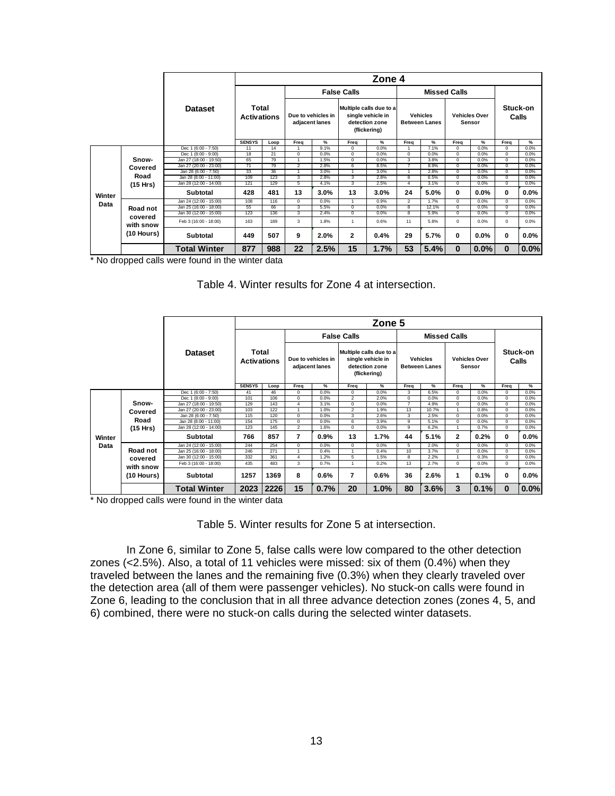|        |                      |                        |                             |      |                                      |      |                                                                                | Zone 4 |                                         |                     |                                       |         |                   |         |
|--------|----------------------|------------------------|-----------------------------|------|--------------------------------------|------|--------------------------------------------------------------------------------|--------|-----------------------------------------|---------------------|---------------------------------------|---------|-------------------|---------|
|        |                      |                        |                             |      |                                      |      | <b>False Calls</b>                                                             |        |                                         | <b>Missed Calls</b> |                                       |         |                   |         |
|        |                      | <b>Dataset</b>         | Total<br><b>Activations</b> |      | Due to vehicles in<br>adjacent lanes |      | Multiple calls due to a<br>single vehicle in<br>detection zone<br>(flickering) |        | <b>Vehicles</b><br><b>Between Lanes</b> |                     | <b>Vehicles Over</b><br><b>Sensor</b> |         | Stuck-on<br>Calls |         |
|        |                      |                        | <b>SENSYS</b>               | Loop | Frea                                 | %    | Freq                                                                           | %      | Frea                                    | %                   | Frea                                  | %       | Frea              | %       |
|        |                      | Dec 1 (6:00 - 7:50)    | 11                          | 14   |                                      | 9.1% | $^{\circ}$                                                                     | 0.0%   |                                         | 7.1%                | $\Omega$                              | 0.0%    | $\Omega$          | 0.0%    |
|        |                      | Dec 1 (8:00 - 9:00)    | 18                          | 21   | $\mathbf 0$                          | 0.0% | $^{\circ}$                                                                     | 0.0%   | $\mathbf 0$                             | 0.0%                | $^{\circ}$                            | 0.0%    | $\circ$           | 0.0%    |
|        | Snow-                | Jan 27 (18:00 - 19:50) | 65                          | 79   |                                      | 1.5% | $\Omega$                                                                       | 0.0%   | $\mathbf{3}$                            | 3.8%                | $\Omega$                              | 0.0%    | $\Omega$          | 0.0%    |
|        | Covered              | Jan 27 (20:00 - 23:00) | 71                          | 79   | $\overline{2}$                       | 2.8% | 6                                                                              | 8.5%   |                                         | 8.9%                | $\Omega$                              | 0.0%    | $\Omega$          | 0.0%    |
|        |                      | Jan 28 (6:00 - 7:50)   | 33                          | 36   |                                      | 3.0% |                                                                                | 3.0%   |                                         | 2.8%                | $\Omega$                              | 0.0%    | $\Omega$          | 0.0%    |
|        | Road                 | Jan 28 (8:00 - 11:00)  | 109                         | 123  | 3                                    | 2.8% | 3                                                                              | 2.8%   | 8                                       | 6.5%                | $\Omega$                              | 0.0%    | $\mathbf 0$       | 0.0%    |
|        | (15 Hrs)             | Jan 28 (12:00 - 14:00) | 121                         | 129  | 5                                    | 4.1% | 3                                                                              | 2.5%   | Δ                                       | 3.1%                | $\Omega$                              | 0.0%    | $\Omega$          | 0.0%    |
| Winter |                      | Subtotal               | 428                         | 481  | 13                                   | 3.0% | 13                                                                             | 3.0%   | 24                                      | 5.0%                | 0                                     | $0.0\%$ | 0                 | $0.0\%$ |
| Data   |                      | Jan 24 (12:00 - 15:00) | 108                         | 116  | $^{\circ}$                           | 0.0% | $\mathbf{1}$                                                                   | 0.9%   | $\overline{2}$                          | 1.7%                | $\Omega$                              | 0.0%    | $\mathbf{0}$      | 0.0%    |
|        | Road not             | Jan 25 (16:00 - 18:00) | 55                          | 66   | 3                                    | 5.5% | $\overline{0}$                                                                 | 0.0%   | 8                                       | 12.1%               | $^{\circ}$                            | 0.0%    | $\mathbf{0}$      | 0.0%    |
|        |                      | Jan 30 (12:00 - 15:00) | 123                         | 136  | 3                                    | 2.4% | $\mathbf 0$                                                                    | 0.0%   | 8                                       | 5.9%                | $\Omega$                              | 0.0%    | $\Omega$          | 0.0%    |
|        | covered<br>with snow | Feb 3 (16:00 - 18:00)  | 163                         | 189  | 3                                    | 1.8% | 1                                                                              | 0.6%   | 11                                      | 5.8%                | $^{\circ}$                            | 0.0%    | 0                 | 0.0%    |
|        | (10 Hours)           | Subtotal               | 449                         | 507  | 9                                    | 2.0% | $\overline{2}$                                                                 | 0.4%   | 29                                      | 5.7%                | 0                                     | $0.0\%$ | 0                 | $0.0\%$ |
|        |                      | <b>Total Winter</b>    | 877                         | 988  | 22                                   | 2.5% | 15                                                                             | 1.7%   | 53                                      | 5.4%                | $\bf{0}$                              | 0.0%    | $\bf{0}$          | 0.0%    |

\* No dropped calls were found in the winter data

#### Table 4. Winter results for Zone 4 at intersection.

|        |                           |                        |                             |      |                                      |         |                                                                                | Zone 5 |                                         |       |                                |      |              |                   |
|--------|---------------------------|------------------------|-----------------------------|------|--------------------------------------|---------|--------------------------------------------------------------------------------|--------|-----------------------------------------|-------|--------------------------------|------|--------------|-------------------|
|        |                           |                        |                             |      |                                      |         | <b>False Calls</b>                                                             |        | <b>Missed Calls</b>                     |       |                                |      |              |                   |
|        |                           | <b>Dataset</b>         | Total<br><b>Activations</b> |      | Due to vehicles in<br>adjacent lanes |         | Multiple calls due to a<br>single vehicle in<br>detection zone<br>(flickering) |        | <b>Vehicles</b><br><b>Between Lanes</b> |       | <b>Vehicles Over</b><br>Sensor |      |              | Stuck-on<br>Calls |
|        |                           |                        | <b>SENSYS</b>               | Loop | Frea                                 | %       | Freq                                                                           | %      | Frea                                    | %     | Frea                           | %    | Frea         | %                 |
|        |                           | Dec 1 (6:00 - 7:50)    | 41                          | 46   | $^{\circ}$                           | 0.0%    | $\mathbf 0$                                                                    | 0.0%   | 3                                       | 6.5%  | $^{\circ}$                     | 0.0% | $\mathbf{0}$ | 0.0%              |
|        |                           | Dec 1 (8:00 - 9:00)    | 101                         | 106  | $^{\circ}$                           | 0.0%    | $\overline{2}$                                                                 | 2.0%   | $\mathbf 0$                             | 0.0%  | $^{\circ}$                     | 0.0% | $\mathbf{0}$ | 0.0%              |
|        | Snow-                     | Jan 27 (18:00 - 19:50) | 129                         | 143  | $\overline{4}$                       | 3.1%    | $\Omega$                                                                       | 0.0%   | $\overline{7}$                          | 4.9%  | $^{\circ}$                     | 0.0% | $\Omega$     | 0.0%              |
|        | Covered                   | Jan 27 (20:00 - 23:00) | 103                         | 122  | $\blacktriangleleft$                 | 1.0%    | $\overline{2}$                                                                 | 1.9%   | 13                                      | 10.7% | $\overline{A}$                 | 0.8% | $\Omega$     | 0.0%              |
|        |                           | Jan 28 (6:00 - 7:50)   | 115                         | 120  | $\mathbf 0$                          | 0.0%    | 3                                                                              | 2.6%   | 3                                       | 2.5%  | $\Omega$                       | 0.0% | $\Omega$     | 0.0%              |
|        | Road                      | Jan 28 (8:00 - 11:00)  | 154                         | 175  | $\mathbf 0$                          | 0.0%    | 6                                                                              | 3.9%   | 9                                       | 5.1%  | $\Omega$                       | 0.0% | $\Omega$     | 0.0%              |
|        | (15 Hrs)                  | Jan 28 (12:00 - 14:00) | 123                         | 145  | $\overline{2}$                       | 1.6%    | $\circ$                                                                        | 0.0%   | 9                                       | 6.2%  |                                | 0.7% | $\mathbf 0$  | 0.0%              |
| Winter |                           | <b>Subtotal</b>        | 766                         | 857  | 7                                    | $0.9\%$ | 13                                                                             | 1.7%   | 44                                      | 5.1%  | $\mathbf{2}$                   | 0.2% | 0            | 0.0%              |
| Data   |                           | Jan 24 (12:00 - 15:00) | 244                         | 254  | $\mathbf 0$                          | 0.0%    | $\mathbf 0$                                                                    | 0.0%   | 5                                       | 2.0%  | $\mathbf 0$                    | 0.0% | $\mathbf{0}$ | 0.0%              |
|        | Road not                  | Jan 25 (16:00 - 18:00) | 246                         | 271  | 1                                    | 0.4%    | $\overline{1}$                                                                 | 0.4%   | 10                                      | 3.7%  | $^{\circ}$                     | 0.0% | $\Omega$     | 0.0%              |
|        | covered                   | Jan 30 (12:00 - 15:00) | 332                         | 361  | $\overline{4}$                       | 1.2%    | 5                                                                              | 1.5%   | 8                                       | 2.2%  |                                | 0.3% | $\mathbf{0}$ | 0.0%              |
|        |                           | Feb 3 (16:00 - 18:00)  | 435                         | 483  | 3                                    | 0.7%    | 1                                                                              | 0.2%   | 13                                      | 2.7%  | $^{\circ}$                     | 0.0% | $\Omega$     | 0.0%              |
|        | with snow<br>$(10$ Hours) | <b>Subtotal</b>        | 1257                        | 1369 | 8                                    | 0.6%    | $\overline{\mathbf{r}}$                                                        | 0.6%   | 36                                      | 2.6%  | 1                              | 0.1% | 0            | $0.0\%$           |
|        |                           | <b>Total Winter</b>    | 2023                        | 2226 | 15                                   | 0.7%    | 20                                                                             | 1.0%   | 80                                      | 3.6%  | 3                              | 0.1% | $\bf{0}$     | 0.0%              |

\* No dropped calls were found in the winter data

Table 5. Winter results for Zone 5 at intersection.

In Zone 6, similar to Zone 5, false calls were low compared to the other detection zones (<2.5%). Also, a total of 11 vehicles were missed: six of them (0.4%) when they traveled between the lanes and the remaining five (0.3%) when they clearly traveled over the detection area (all of them were passenger vehicles). No stuck-on calls were found in Zone 6, leading to the conclusion that in all three advance detection zones (zones 4, 5, and 6) combined, there were no stuck-on calls during the selected winter datasets.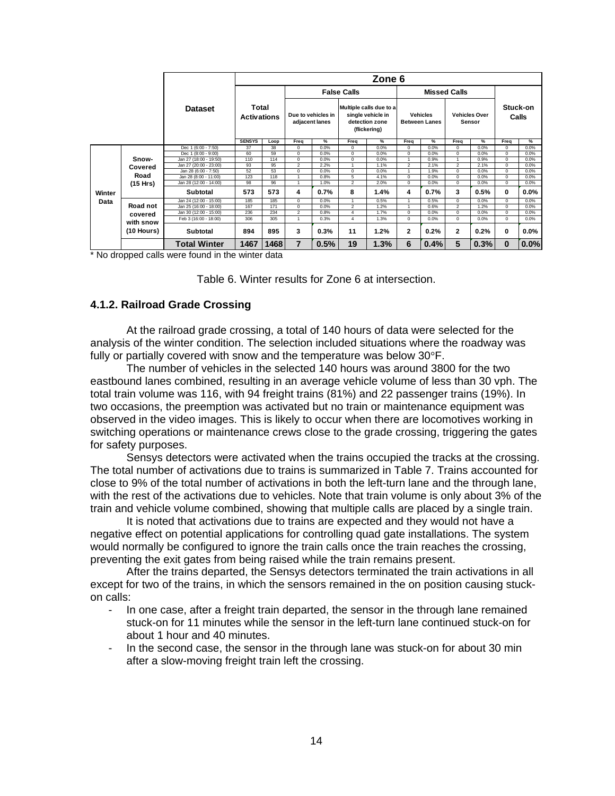|        |                         |                        |                             |      |                                      |      |                                                                                | Zone 6 |                                         |                     |                                |      |              |                   |
|--------|-------------------------|------------------------|-----------------------------|------|--------------------------------------|------|--------------------------------------------------------------------------------|--------|-----------------------------------------|---------------------|--------------------------------|------|--------------|-------------------|
|        |                         |                        |                             |      |                                      |      | <b>False Calls</b>                                                             |        |                                         | <b>Missed Calls</b> |                                |      |              |                   |
|        |                         | <b>Dataset</b>         | Total<br><b>Activations</b> |      | Due to vehicles in<br>adjacent lanes |      | Multiple calls due to a<br>single vehicle in<br>detection zone<br>(flickering) |        | <b>Vehicles</b><br><b>Between Lanes</b> |                     | <b>Vehicles Over</b><br>Sensor |      |              | Stuck-on<br>Calls |
|        |                         |                        | <b>SENSYS</b>               | Loop | Freq                                 | %    | Freq                                                                           | %      | Freq                                    | $\%$                | Freq                           | $\%$ | Freq         | %                 |
|        |                         | Dec 1 (6:00 - 7:50)    | 37                          | 38   | $^{\circ}$                           | 0.0% | $^{\circ}$                                                                     | 0.0%   | $\Omega$                                | 0.0%                | $\Omega$                       | 0.0% | 0            | 0.0%              |
|        |                         | Dec 1 (8:00 - 9:00)    | 60                          | 59   | $\mathbf 0$                          | 0.0% | $\mathbf 0$                                                                    | 0.0%   | $\mathbf 0$                             | 0.0%                | $^{\circ}$                     | 0.0% | $\mathbf{0}$ | 0.0%              |
|        | Snow-                   | Jan 27 (18:00 - 19:50) | 110                         | 114  | $\overline{0}$                       | 0.0% | $\mathbf 0$                                                                    | 0.0%   |                                         | 0.9%                |                                | 0.9% | $\Omega$     | 0.0%              |
|        | Covered                 | Jan 27 (20:00 - 23:00) | 93                          | 95   | 2                                    | 2.2% | $\overline{1}$                                                                 | 1.1%   | $\overline{2}$                          | 2.1%                | $\overline{2}$                 | 2.1% | $\Omega$     | 0.0%              |
|        |                         | Jan 28 (6:00 - 7:50)   | 52                          | 53   | $\Omega$                             | 0.0% | $\Omega$                                                                       | 0.0%   |                                         | 1.9%                | $\Omega$                       | 0.0% | $\Omega$     | 0.0%              |
|        | Road                    | Jan 28 (8:00 - 11:00)  | 123                         | 118  |                                      | 0.8% | 5                                                                              | 4.1%   | $\Omega$                                | 0.0%                | $\Omega$                       | 0.0% | $\Omega$     | 0.0%              |
|        | (15 Hrs)                | Jan 28 (12:00 - 14:00) | 98                          | 96   | $\blacktriangleleft$                 | 1.0% | $\overline{2}$                                                                 | 2.0%   | $\Omega$                                | 0.0%                | $\Omega$                       | 0.0% | $\circ$      | 0.0%              |
| Winter |                         | <b>Subtotal</b>        | 573                         | 573  | 4                                    | 0.7% | 8                                                                              | 1.4%   | 4                                       | 0.7%                | 3                              | 0.5% | $\mathbf{0}$ | $0.0\%$           |
| Data   |                         | Jan 24 (12:00 - 15:00) | 185                         | 185  | $\overline{0}$                       | 0.0% | $\mathbf{1}$                                                                   | 0.5%   |                                         | 0.5%                | $\Omega$                       | 0.0% | $\Omega$     | 0.0%              |
|        | Road not                | Jan 25 (16:00 - 18:00) | 167                         | 171  | $\mathbf 0$                          | 0.0% | $\overline{2}$                                                                 | 1.2%   |                                         | 0.6%                | $\overline{2}$                 | 1.2% | $\Omega$     | 0.0%              |
|        | covered                 | Jan 30 (12:00 - 15:00) | 236                         | 234  | $\overline{2}$                       | 0.8% | $\overline{4}$                                                                 | 1.7%   | $\Omega$                                | 0.0%                | $\Omega$                       | 0.0% | $\Omega$     | 0.0%              |
|        |                         | Feb 3 (16:00 - 18:00)  | 306                         | 305  | 1                                    | 0.3% | 4                                                                              | 1.3%   | $\Omega$                                | 0.0%                | $\Omega$                       | 0.0% | $\Omega$     | 0.0%              |
|        | with snow<br>(10 Hours) | <b>Subtotal</b>        | 894                         | 895  | 3                                    | 0.3% | 11                                                                             | 1.2%   | 2                                       | 0.2%                | $\mathbf{2}$                   | 0.2% | 0            | $0.0\%$           |
|        |                         | <b>Total Winter</b>    | 1467                        | 1468 | $\overline{7}$                       | 0.5% | 19                                                                             | 1.3%   | 6                                       | 0.4%                | 5                              | 0.3% | $\mathbf{0}$ | 0.0%              |

\* No dropped calls were found in the winter data

Table 6. Winter results for Zone 6 at intersection.

#### **4.1.2. Railroad Grade Crossing**

At the railroad grade crossing, a total of 140 hours of data were selected for the analysis of the winter condition. The selection included situations where the roadway was fully or partially covered with snow and the temperature was below 30°F.

The number of vehicles in the selected 140 hours was around 3800 for the two eastbound lanes combined, resulting in an average vehicle volume of less than 30 vph. The total train volume was 116, with 94 freight trains (81%) and 22 passenger trains (19%). In two occasions, the preemption was activated but no train or maintenance equipment was observed in the video images. This is likely to occur when there are locomotives working in switching operations or maintenance crews close to the grade crossing, triggering the gates for safety purposes.

 Sensys detectors were activated when the trains occupied the tracks at the crossing. The total number of activations due to trains is summarized in Table 7. Trains accounted for close to 9% of the total number of activations in both the left-turn lane and the through lane, with the rest of the activations due to vehicles. Note that train volume is only about 3% of the train and vehicle volume combined, showing that multiple calls are placed by a single train.

It is noted that activations due to trains are expected and they would not have a negative effect on potential applications for controlling quad gate installations. The system would normally be configured to ignore the train calls once the train reaches the crossing, preventing the exit gates from being raised while the train remains present.

After the trains departed, the Sensys detectors terminated the train activations in all except for two of the trains, in which the sensors remained in the on position causing stuckon calls:

- In one case, after a freight train departed, the sensor in the through lane remained stuck-on for 11 minutes while the sensor in the left-turn lane continued stuck-on for about 1 hour and 40 minutes.
- In the second case, the sensor in the through lane was stuck-on for about 30 min after a slow-moving freight train left the crossing.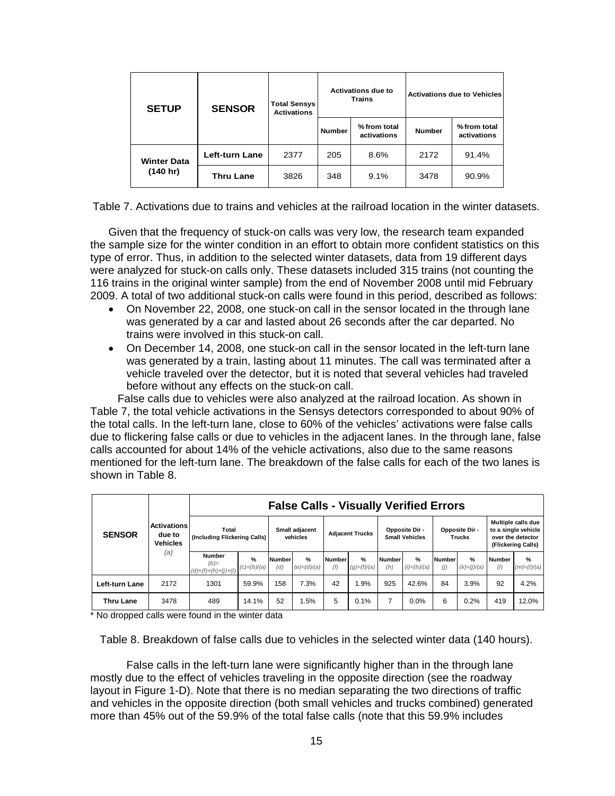| <b>SETUP</b>       | <b>SENSOR</b>         | <b>Total Sensys</b><br><b>Activations</b> |               | <b>Activations due to</b><br><b>Trains</b> | <b>Activations due to Vehicles</b> |                            |  |  |  |
|--------------------|-----------------------|-------------------------------------------|---------------|--------------------------------------------|------------------------------------|----------------------------|--|--|--|
|                    |                       |                                           | <b>Number</b> | % from total<br>activations                | <b>Number</b>                      | %from total<br>activations |  |  |  |
| <b>Winter Data</b> | <b>Left-turn Lane</b> | 2377                                      | 205           | 8.6%                                       | 2172                               | 91.4%                      |  |  |  |
| (140 hr)           | <b>Thru Lane</b>      | 3826                                      | 348           | 9.1%                                       | 3478                               | 90.9%                      |  |  |  |

Table 7. Activations due to trains and vehicles at the railroad location in the winter datasets.

Given that the frequency of stuck-on calls was very low, the research team expanded the sample size for the winter condition in an effort to obtain more confident statistics on this type of error. Thus, in addition to the selected winter datasets, data from 19 different days were analyzed for stuck-on calls only. These datasets included 315 trains (not counting the 116 trains in the original winter sample) from the end of November 2008 until mid February 2009. A total of two additional stuck-on calls were found in this period, described as follows:

- On November 22, 2008, one stuck-on call in the sensor located in the through lane was generated by a car and lasted about 26 seconds after the car departed. No trains were involved in this stuck-on call.
- On December 14, 2008, one stuck-on call in the sensor located in the left-turn lane was generated by a train, lasting about 11 minutes. The call was terminated after a vehicle traveled over the detector, but it is noted that several vehicles had traveled before without any effects on the stuck-on call.

 False calls due to vehicles were also analyzed at the railroad location. As shown in Table 7, the total vehicle activations in the Sensys detectors corresponded to about 90% of the total calls. In the left-turn lane, close to 60% of the vehicles' activations were false calls due to flickering false calls or due to vehicles in the adjacent lanes. In the through lane, false calls accounted for about 14% of the vehicle activations, also due to the same reasons mentioned for the left-turn lane. The breakdown of the false calls for each of the two lanes is shown in Table 8.

|                  |                                                        |                                                  |                       |                            | <b>False Calls - Visually Verified Errors</b> |                        |                                |                                         |                    |                                 |                                |                                                                                      |                       |
|------------------|--------------------------------------------------------|--------------------------------------------------|-----------------------|----------------------------|-----------------------------------------------|------------------------|--------------------------------|-----------------------------------------|--------------------|---------------------------------|--------------------------------|--------------------------------------------------------------------------------------|-----------------------|
| <b>SENSOR</b>    | <b>Activations</b><br>due to<br><b>Vehicles</b><br>(a) | Total<br>(Including Flickering Calls)            |                       | Small adjacent<br>vehicles |                                               | <b>Adjacent Trucks</b> |                                | Opposite Dir -<br><b>Small Vehicles</b> |                    | Opposite Dir -<br><b>Trucks</b> |                                | Multiple calls due<br>to a single vehicle<br>over the detector<br>(Flickering Calls) |                       |
|                  |                                                        | <b>Number</b><br>$(b)=$<br>$(d)+(f)+(h)+(j)+(l)$ | $\%$<br>$(c)=(b)/(a)$ | Number<br>(d)              | $\frac{9}{6}$<br>$(e) = (d)/(a)$              | <b>Number</b><br>(f)   | $\frac{9}{6}$<br>$(g)=(f)/(a)$ | <b>Number</b><br>(h)                    | %<br>$(i)=(h)/(a)$ | Number<br>(j)                   | $\frac{9}{6}$<br>$(k)=(j)/(a)$ | <b>Number</b><br>(1)                                                                 | $\%$<br>$(m)=(1)/(a)$ |
| Left-turn Lane   | 2172                                                   | 1301                                             | 59.9%                 | 158                        | 7.3%                                          | 42                     | .9%                            | 925                                     | 42.6%              | 84                              | 3.9%                           | 92                                                                                   | 4.2%                  |
| <b>Thru Lane</b> | 3478                                                   | 489                                              | 14.1%                 | 52                         | .5%                                           | 5                      | 0.1%                           |                                         | 0.0%               | 6                               | 0.2%                           | 419                                                                                  | 12.0%                 |

\* No dropped calls were found in the winter data

Table 8. Breakdown of false calls due to vehicles in the selected winter data (140 hours).

 False calls in the left-turn lane were significantly higher than in the through lane mostly due to the effect of vehicles traveling in the opposite direction (see the roadway layout in Figure 1-D). Note that there is no median separating the two directions of traffic and vehicles in the opposite direction (both small vehicles and trucks combined) generated more than 45% out of the 59.9% of the total false calls (note that this 59.9% includes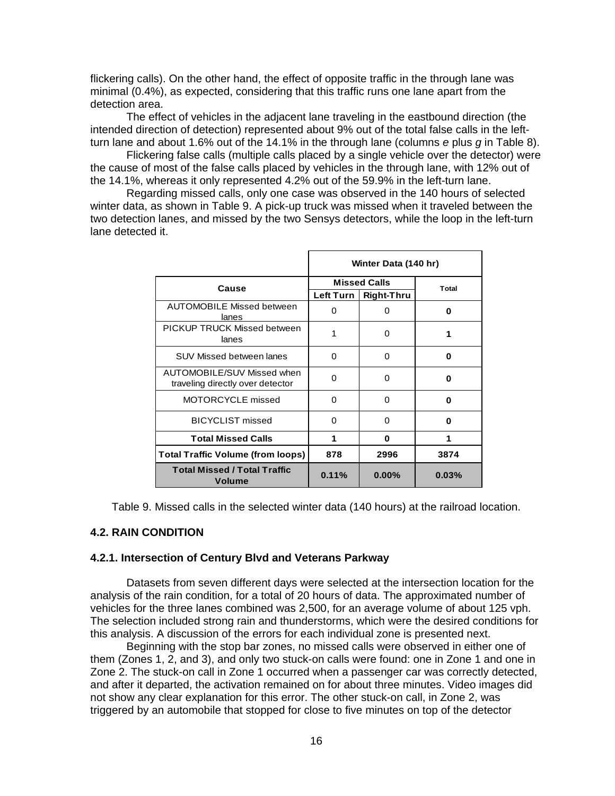flickering calls). On the other hand, the effect of opposite traffic in the through lane was minimal (0.4%), as expected, considering that this traffic runs one lane apart from the detection area.

 The effect of vehicles in the adjacent lane traveling in the eastbound direction (the intended direction of detection) represented about 9% out of the total false calls in the leftturn lane and about 1.6% out of the 14.1% in the through lane (columns *e* plus *g* in Table 8).

 Flickering false calls (multiple calls placed by a single vehicle over the detector) were the cause of most of the false calls placed by vehicles in the through lane, with 12% out of the 14.1%, whereas it only represented 4.2% out of the 59.9% in the left-turn lane.

 Regarding missed calls, only one case was observed in the 140 hours of selected winter data, as shown in Table 9. A pick-up truck was missed when it traveled between the two detection lanes, and missed by the two Sensys detectors, while the loop in the left-turn lane detected it.

|                                                                |             | Winter Data (140 hr) |       |
|----------------------------------------------------------------|-------------|----------------------|-------|
| Cause                                                          |             | <b>Missed Calls</b>  | Total |
|                                                                | Left Turn I | <b>Right-Thru</b>    |       |
| <b>AUTOMOBILE Missed between</b><br>lanes                      | $\Omega$    | O                    | 0     |
| PICKUP TRUCK Missed between<br>lanes                           | 1           | 0                    | 1     |
| <b>SUV Missed between lanes</b>                                | $\Omega$    | $\Omega$             | O     |
| AUTOMOBILE/SUV Missed when<br>traveling directly over detector | $\Omega$    | 0                    | 0     |
| MOTORCYCLE missed                                              | $\Omega$    | 0                    | U     |
| <b>BICYCLIST</b> missed                                        | 0           | 0                    | 0     |
| <b>Total Missed Calls</b>                                      | 1           | U                    |       |
| <b>Total Traffic Volume (from loops)</b>                       | 878         | 2996                 | 3874  |
| <b>Total Missed / Total Traffic</b><br>Volume                  | 0.11%       | $0.00\%$             | 0.03% |

Table 9. Missed calls in the selected winter data (140 hours) at the railroad location.

#### **4.2. RAIN CONDITION**

#### **4.2.1. Intersection of Century Blvd and Veterans Parkway**

Datasets from seven different days were selected at the intersection location for the analysis of the rain condition, for a total of 20 hours of data. The approximated number of vehicles for the three lanes combined was 2,500, for an average volume of about 125 vph. The selection included strong rain and thunderstorms, which were the desired conditions for this analysis. A discussion of the errors for each individual zone is presented next.

 Beginning with the stop bar zones, no missed calls were observed in either one of them (Zones 1, 2, and 3), and only two stuck-on calls were found: one in Zone 1 and one in Zone 2. The stuck-on call in Zone 1 occurred when a passenger car was correctly detected, and after it departed, the activation remained on for about three minutes. Video images did not show any clear explanation for this error. The other stuck-on call, in Zone 2, was triggered by an automobile that stopped for close to five minutes on top of the detector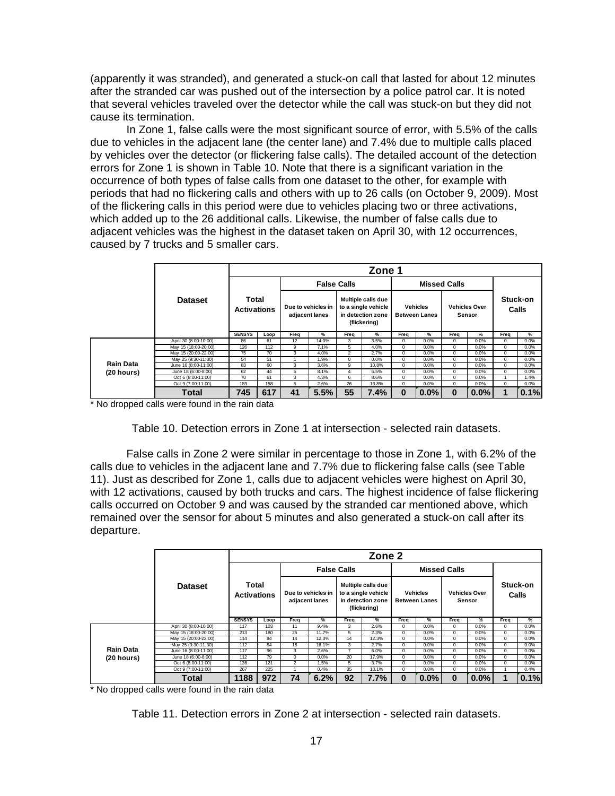(apparently it was stranded), and generated a stuck-on call that lasted for about 12 minutes after the stranded car was pushed out of the intersection by a police patrol car. It is noted that several vehicles traveled over the detector while the call was stuck-on but they did not cause its termination.

 In Zone 1, false calls were the most significant source of error, with 5.5% of the calls due to vehicles in the adjacent lane (the center lane) and 7.4% due to multiple calls placed by vehicles over the detector (or flickering false calls). The detailed account of the detection errors for Zone 1 is shown in Table 10. Note that there is a significant variation in the occurrence of both types of false calls from one dataset to the other, for example with periods that had no flickering calls and others with up to 26 calls (on October 9, 2009). Most of the flickering calls in this period were due to vehicles placing two or three activations, which added up to the 26 additional calls. Likewise, the number of false calls due to adjacent vehicles was the highest in the dataset taken on April 30, with 12 occurrences, caused by 7 trucks and 5 smaller cars.

|                  |                       |                             |      |      |                                      |                    | Zone 1                                                                         |            |                                         |                     |                                |             |                   |
|------------------|-----------------------|-----------------------------|------|------|--------------------------------------|--------------------|--------------------------------------------------------------------------------|------------|-----------------------------------------|---------------------|--------------------------------|-------------|-------------------|
|                  |                       |                             |      |      |                                      | <b>False Calls</b> |                                                                                |            |                                         | <b>Missed Calls</b> |                                |             |                   |
|                  | <b>Dataset</b>        | Total<br><b>Activations</b> |      |      | Due to vehicles in<br>adjacent lanes |                    | Multiple calls due<br>to a single vehicle<br>in detection zone<br>(flickering) |            | <b>Vehicles</b><br><b>Between Lanes</b> |                     | <b>Vehicles Over</b><br>Sensor |             | Stuck-on<br>Calls |
|                  |                       | <b>SENSYS</b>               | Loop | Frea | $\frac{9}{6}$                        | Freq               | %                                                                              | Freq       | $\%$                                    | Frea                | $\frac{9}{6}$                  | Freq        | %                 |
|                  | April 30 (8:00-10:00) | 86                          | 61   | 12   | 14.0%                                | 3                  | 3.5%                                                                           | $\Omega$   | 0.0%                                    | $\mathbf 0$         | 0.0%                           | $^{\circ}$  | 0.0%              |
|                  | May 15 (18:00-20:00)  | 126                         | 112  | 9    | 7.1%                                 | 5                  | 4.0%                                                                           | $^{\circ}$ | 0.0%                                    | $\mathbf 0$         | 0.0%                           | 0           | 0.0%              |
|                  | May 15 (20:00-22:00)  | 75                          | 70   | 3    | 4.0%                                 | $\overline{2}$     | 2.7%                                                                           | $^{\circ}$ | 0.0%                                    | $\mathbf 0$         | 0.0%                           | 0           | 0.0%              |
|                  | May 25 (9:30-11:30)   | 54                          | 51   |      | 1.9%                                 | 0                  | 0.0%                                                                           | 0          | 0.0%                                    | $\mathbf 0$         | 0.0%                           | $\mathbf 0$ | 0.0%              |
| <b>Rain Data</b> | June 16 (8:00-11:00)  | 83                          | 60   | 3    | 3.6%                                 | 9                  | 10.8%                                                                          | $^{\circ}$ | 0.0%                                    | 0                   | 0.0%                           | $^{\circ}$  | 0.0%              |
| (20 hours)       | June 18 (6:00-8:00)   | 62                          | 44   | 5    | 8.1%                                 | Δ                  | 6.5%                                                                           | $^{\circ}$ | 0.0%                                    | 0                   | 0.0%                           | $\Omega$    | 0.0%              |
|                  | Oct 6 (8:00-11:00)    | 70                          | 61   | 3    | 4.3%                                 | 6                  | 8.6%                                                                           | $\Omega$   | 0.0%                                    | $\mathbf 0$         | 0.0%                           |             | 1.4%              |
|                  | Oct 9 (7:00-11:00)    | 189                         | 158  | 5    | 2.6%                                 | 26                 | 13.8%                                                                          | 0          | 0.0%                                    | $\mathbf 0$         | 0.0%                           | $\Omega$    | 0.0%              |
|                  | <b>Total</b>          | 745                         | 617  | 41   | 5.5%                                 | 55                 | 7.4%                                                                           | $\bf{0}$   | $0.0\%$                                 | $\bf{0}$            | 0.0%                           |             | 0.1%              |

\* No dropped calls were found in the rain data

Table 10. Detection errors in Zone 1 at intersection - selected rain datasets.

 False calls in Zone 2 were similar in percentage to those in Zone 1, with 6.2% of the calls due to vehicles in the adjacent lane and 7.7% due to flickering false calls (see Table 11). Just as described for Zone 1, calls due to adjacent vehicles were highest on April 30, with 12 activations, caused by both trucks and cars. The highest incidence of false flickering calls occurred on October 9 and was caused by the stranded car mentioned above, which remained over the sensor for about 5 minutes and also generated a stuck-on call after its departure.

|            |                                                                                                                                                                                                                    |               |                             |                |                                      |                    | Zone 2                                                                         |            |                                         |                     |                                |                   |      |
|------------|--------------------------------------------------------------------------------------------------------------------------------------------------------------------------------------------------------------------|---------------|-----------------------------|----------------|--------------------------------------|--------------------|--------------------------------------------------------------------------------|------------|-----------------------------------------|---------------------|--------------------------------|-------------------|------|
|            |                                                                                                                                                                                                                    |               |                             |                |                                      | <b>False Calls</b> |                                                                                |            |                                         | <b>Missed Calls</b> |                                |                   |      |
|            | <b>Dataset</b><br>April 30 (8:00-10:00)<br>May 15 (18:00-20:00)<br>May 15 (20:00-22:00)<br>May 25 (9:30-11:30)<br>June 16 (8:00-11:00)<br>June 18 (6:00-8:00)<br>Oct 6 (8:00-11:00)<br>Oct 9 (7:00-11:00)<br>Total |               | Total<br><b>Activations</b> |                | Due to vehicles in<br>adjacent lanes |                    | Multiple calls due<br>to a single vehicle<br>in detection zone<br>(flickering) |            | <b>Vehicles</b><br><b>Between Lanes</b> |                     | <b>Vehicles Over</b><br>Sensor | Stuck-on<br>Calls |      |
|            |                                                                                                                                                                                                                    | <b>SENSYS</b> | Loop                        | Freq           | %                                    | Frea               | %                                                                              | Frea       | %                                       | Frea                | %                              | Freq              | %    |
|            |                                                                                                                                                                                                                    | 117           | 103                         | 11             | 9.4%                                 | 3                  | 2.6%                                                                           | $^{\circ}$ | 0.0%                                    | 0                   | 0.0%                           | $^{\circ}$        | 0.0% |
|            |                                                                                                                                                                                                                    | 213           | 180                         | 25             | 11.7%                                | 5                  | 2.3%                                                                           | $^{\circ}$ | 0.0%                                    | 0                   | 0.0%                           | $^{\circ}$        | 0.0% |
|            |                                                                                                                                                                                                                    | 114           | 84                          | 14             | 12.3%                                | 14                 | 12.3%                                                                          | $\Omega$   | 0.0%                                    | 0                   | 0.0%                           | $^{\circ}$        | 0.0% |
|            |                                                                                                                                                                                                                    | 112           | 84                          | 18             | 16.1%                                | 3                  | 2.7%                                                                           | 0          | 0.0%                                    | 0                   | 0.0%                           | $\mathbf 0$       | 0.0% |
| Rain Data  |                                                                                                                                                                                                                    | 117           | 96                          | 3              | 2.6%                                 |                    | 6.0%                                                                           | 0          | 0.0%                                    | 0                   | 0.0%                           | $\mathbf 0$       | 0.0% |
| (20 hours) |                                                                                                                                                                                                                    | 112           | 79                          | $\Omega$       | 0.0%                                 | 20                 | 17.9%                                                                          | $\Omega$   | 0.0%                                    | 0                   | 0.0%                           | $\Omega$          | 0.0% |
|            |                                                                                                                                                                                                                    | 136           | 121                         | $\overline{2}$ | 1.5%                                 | 5                  | 3.7%                                                                           | $\Omega$   | 0.0%                                    | 0                   | 0.0%                           | $^{\circ}$        | 0.0% |
|            |                                                                                                                                                                                                                    | 267           | 225                         |                | 0.4%                                 | 35                 | 13.1%                                                                          | $\Omega$   | 0.0%                                    | 0                   | 0.0%                           |                   | 0.4% |
|            |                                                                                                                                                                                                                    | 1188          | 972                         | 74             | 6.2%                                 | 92                 | 7.7%                                                                           | $\bf{0}$   | 0.0%                                    | $\bf{0}$            | 0.0%                           |                   | 0.1% |

\* No dropped calls were found in the rain data

Table 11. Detection errors in Zone 2 at intersection - selected rain datasets.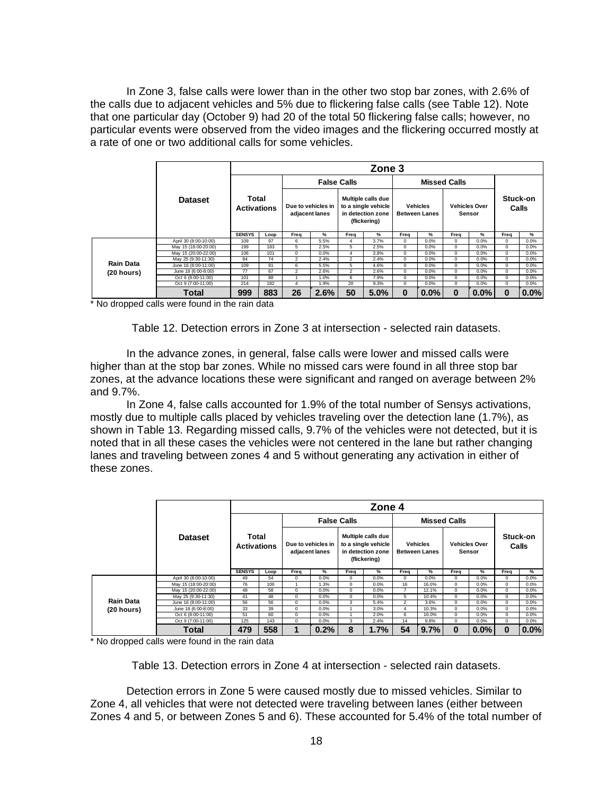In Zone 3, false calls were lower than in the other two stop bar zones, with 2.6% of the calls due to adjacent vehicles and 5% due to flickering false calls (see Table 12). Note that one particular day (October 9) had 20 of the total 50 flickering false calls; however, no particular events were observed from the video images and the flickering occurred mostly at a rate of one or two additional calls for some vehicles.

|                  |                       |                             |      |                |                                      |                    | Zone 3                                                                         |             |                                         |                     |                                |          |                   |
|------------------|-----------------------|-----------------------------|------|----------------|--------------------------------------|--------------------|--------------------------------------------------------------------------------|-------------|-----------------------------------------|---------------------|--------------------------------|----------|-------------------|
|                  |                       |                             |      |                |                                      | <b>False Calls</b> |                                                                                |             |                                         | <b>Missed Calls</b> |                                |          |                   |
|                  | <b>Dataset</b>        | Total<br><b>Activations</b> |      |                | Due to vehicles in<br>adjacent lanes |                    | Multiple calls due<br>to a single vehicle<br>in detection zone<br>(flickering) |             | <b>Vehicles</b><br><b>Between Lanes</b> |                     | <b>Vehicles Over</b><br>Sensor |          | Stuck-on<br>Calls |
|                  |                       | <b>SENSYS</b>               | Loop | Freq           | %                                    | Freq               | %                                                                              | Freq        | %                                       | Freq                | %                              | Freq     | %                 |
|                  | April 30 (8:00-10:00) | 109                         | 97   | 6              | 5.5%                                 | 4                  | 3.7%                                                                           | $\mathbf 0$ | 0.0%                                    | 0                   | 0.0%                           | 0        | 0.0%              |
|                  | May 15 (18:00-20:00)  | 199                         | 183  | 5              | 2.5%                                 | 5                  | 2.5%                                                                           | $\mathbf 0$ | 0.0%                                    | 0                   | 0.0%                           | 0        | 0.0%              |
|                  | May 15 (20:00-22:00)  | 106                         | 101  | 0              | 0.0%                                 | 4                  | 3.8%                                                                           | $\mathbf 0$ | 0.0%                                    | 0                   | 0.0%                           | $\Omega$ | 0.0%              |
|                  | May 25 (9:30-11:30)   | 84                          | 74   | $\overline{c}$ | 2.4%                                 | $\overline{2}$     | 2.4%                                                                           | $\mathbf 0$ | 0.0%                                    | $\mathbf 0$         | 0.0%                           | $\Omega$ | 0.0%              |
| <b>Rain Data</b> | June 16 (8:00-11:00)  | 109                         | 91   | 6              | 5.5%                                 | 5                  | 4.6%                                                                           | $\mathbf 0$ | 0.0%                                    | 0                   | 0.0%                           | $\Omega$ | 0.0%              |
| (20 hours)       | June 18 (6:00-8:00)   | 77                          | 67   | $\overline{2}$ | 2.6%                                 | $\overline{2}$     | 2.6%                                                                           | $\mathbf 0$ | 0.0%                                    | 0                   | 0.0%                           | $\Omega$ | 0.0%              |
|                  | Oct 6 (8:00-11:00)    | 101                         | 88   |                | 1.0%                                 | 8                  | 7.9%                                                                           | $\mathbf 0$ | 0.0%                                    | 0                   | 0.0%                           | $\Omega$ | 0.0%              |
|                  | Oct 9 (7:00-11:00)    | 214                         | 182  | 4              | 1.9%                                 | 20                 | 9.3%                                                                           | $\mathbf 0$ | 0.0%                                    | 0                   | 0.0%                           | $\Omega$ | 0.0%              |
|                  | <b>Total</b>          | 999                         | 883  | 26             | 2.6%                                 | 50                 | 5.0%                                                                           | $\bf{0}$    | 0.0%                                    | $\bf{0}$            | 0.0%                           | 0        | 0.0%              |

\* No dropped calls were found in the rain data

Table 12. Detection errors in Zone 3 at intersection - selected rain datasets.

In the advance zones, in general, false calls were lower and missed calls were higher than at the stop bar zones. While no missed cars were found in all three stop bar zones, at the advance locations these were significant and ranged on average between 2% and 9.7%.

In Zone 4, false calls accounted for 1.9% of the total number of Sensys activations, mostly due to multiple calls placed by vehicles traveling over the detection lane (1.7%), as shown in Table 13. Regarding missed calls, 9.7% of the vehicles were not detected, but it is noted that in all these cases the vehicles were not centered in the lane but rather changing lanes and traveling between zones 4 and 5 without generating any activation in either of these zones.

|                  |                       |                             |      |          |                                      |          | Zone 4                                                                         |                |                                         |                                                                                                                                                  |                                |                   |      |
|------------------|-----------------------|-----------------------------|------|----------|--------------------------------------|----------|--------------------------------------------------------------------------------|----------------|-----------------------------------------|--------------------------------------------------------------------------------------------------------------------------------------------------|--------------------------------|-------------------|------|
|                  |                       |                             |      |          | <b>False Calls</b>                   |          |                                                                                |                |                                         |                                                                                                                                                  |                                |                   |      |
|                  | <b>Dataset</b>        | Total<br><b>Activations</b> |      |          | Due to vehicles in<br>adjacent lanes |          | Multiple calls due<br>to a single vehicle<br>in detection zone<br>(flickering) |                | <b>Vehicles</b><br><b>Between Lanes</b> | <b>Missed Calls</b><br>Freq<br>$^{\circ}$<br>$\mathbf{0}$<br>$^{\circ}$<br>$^{\circ}$<br>$^{\circ}$<br>0<br>$^{\circ}$<br>$^{\circ}$<br>$\bf{0}$ | <b>Vehicles Over</b><br>Sensor | Stuck-on<br>Calls |      |
|                  |                       | <b>SENSYS</b>               | Loop | Freq     | %                                    | Freq     | %                                                                              | Freq           | %                                       |                                                                                                                                                  | %                              | Freq              | %    |
|                  | April 30 (8:00-10:00) | 49                          | 54   | 0        | 0.0%                                 | 0        | 0.0%                                                                           | $\Omega$       | 0.0%                                    |                                                                                                                                                  | 0.0%                           | $\Omega$          | 0.0% |
|                  | May 15 (18:00-20:00)  | 76                          | 100  |          | 1.3%                                 | $\Omega$ | 0.0%                                                                           | 16             | 16.0%                                   |                                                                                                                                                  | 0.0%                           | $\Omega$          | 0.0% |
|                  | May 15 (20:00-22:00)  | 48                          | 58   | $\Omega$ | 0.0%                                 | $\Omega$ | 0.0%                                                                           |                | 12.1%                                   |                                                                                                                                                  | 0.0%                           | $\Omega$          | 0.0% |
|                  | May 25 (9:30-11:30)   | 41                          | 48   | 0        | 0.0%                                 | 0        | 0.0%                                                                           | 5              | 10.4%                                   |                                                                                                                                                  | 0.0%                           | $^{\circ}$        | 0.0% |
| <b>Rain Data</b> | June 16 (8:00-11:00)  | 56                          | 56   | $\Omega$ | 0.0%                                 | 3        | 5.4%                                                                           | $\overline{2}$ | 3.6%                                    |                                                                                                                                                  | 0.0%                           | $\Omega$          | 0.0% |
| (20 hours)       | June 18 (6:00-8:00)   | 33                          | 39   | 0        | 0.0%                                 |          | 3.0%                                                                           | 4              | 10.3%                                   |                                                                                                                                                  | 0.0%                           | $\Omega$          | 0.0% |
|                  | Oct 6 (8:00-11:00)    | 51                          | 60   | $\Omega$ | 0.0%                                 |          | 2.0%                                                                           | 6              | 10.0%                                   |                                                                                                                                                  | 0.0%                           | $\Omega$          | 0.0% |
|                  | Oct 9 (7:00-11:00)    | 125                         | 143  | $\Omega$ | 0.0%                                 | 3        | 2.4%                                                                           | 14             | 9.8%                                    |                                                                                                                                                  | 0.0%                           | $\Omega$          | 0.0% |
|                  | <b>Total</b>          | 479                         | 558  | 1        | 0.2%                                 | 8        | 1.7%                                                                           | 54             | 9.7%                                    |                                                                                                                                                  | 0.0%                           | $\bf{0}$          | 0.0% |

\* No dropped calls were found in the rain data

Table 13. Detection errors in Zone 4 at intersection - selected rain datasets.

 Detection errors in Zone 5 were caused mostly due to missed vehicles. Similar to Zone 4, all vehicles that were not detected were traveling between lanes (either between Zones 4 and 5, or between Zones 5 and 6). These accounted for 5.4% of the total number of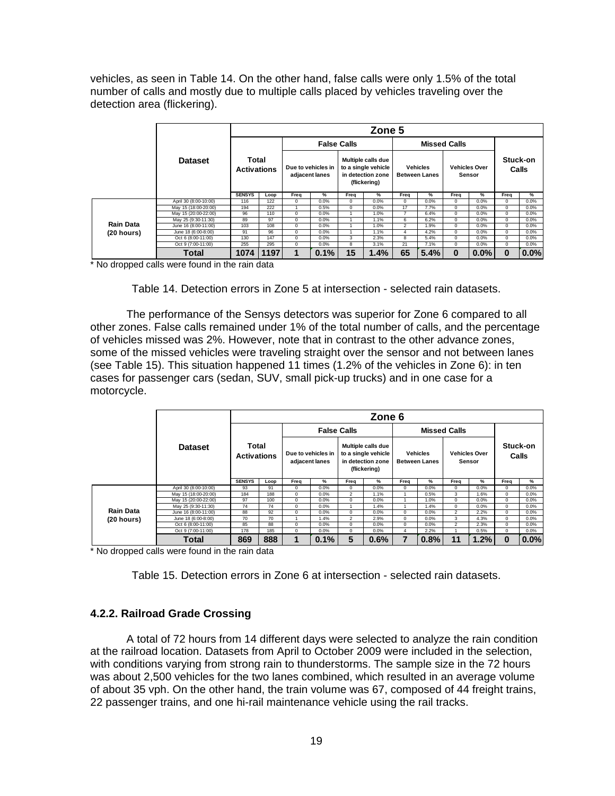vehicles, as seen in Table 14. On the other hand, false calls were only 1.5% of the total number of calls and mostly due to multiple calls placed by vehicles traveling over the detection area (flickering).

|                  |                       |                                                             |      |                    |                |                    | Zone 5                                                                         |                |                                                                           |                     |                   |          |      |
|------------------|-----------------------|-------------------------------------------------------------|------|--------------------|----------------|--------------------|--------------------------------------------------------------------------------|----------------|---------------------------------------------------------------------------|---------------------|-------------------|----------|------|
|                  |                       |                                                             |      |                    |                | <b>False Calls</b> |                                                                                |                |                                                                           | <b>Missed Calls</b> |                   |          |      |
|                  | <b>Dataset</b>        | <b>Total</b><br><b>Activations</b><br><b>SENSYS</b><br>Loop |      | Due to vehicles in | adjacent lanes |                    | Multiple calls due<br>to a single vehicle<br>in detection zone<br>(flickering) |                | <b>Vehicles</b><br><b>Vehicles Over</b><br><b>Between Lanes</b><br>Sensor |                     | Stuck-on<br>Calls |          |      |
|                  |                       |                                                             |      | Freq               | %              | Freq               | %                                                                              | Freq           | ℅                                                                         | Freq                | ℅                 | Freq     | %    |
|                  | April 30 (8:00-10:00) | 116                                                         | 122  | 0                  | 0.0%           | $\mathbf 0$        | 0.0%                                                                           | 0              | 0.0%                                                                      | 0                   | 0.0%              | $\Omega$ | 0.0% |
|                  | May 15 (18:00-20:00)  | 194                                                         | 222  |                    | 0.5%           | $\mathbf 0$        | 0.0%                                                                           | 17             | 7.7%                                                                      | 0                   | 0.0%              | 0        | 0.0% |
|                  | May 15 (20:00-22:00)  | 96                                                          | 110  | 0                  | 0.0%           |                    | 1.0%                                                                           |                | 6.4%                                                                      | 0                   | 0.0%              | $\Omega$ | 0.0% |
|                  | May 25 (9:30-11:30)   | 89                                                          | 97   | 0                  | 0.0%           |                    | 1.1%                                                                           | 6              | 6.2%                                                                      | 0                   | 0.0%              | $\Omega$ | 0.0% |
| <b>Rain Data</b> | June 16 (8:00-11:00)  | 103                                                         | 108  | 0                  | 0.0%           |                    | 1.0%                                                                           | $\overline{2}$ | 1.9%                                                                      | $^{\circ}$          | 0.0%              | $\Omega$ | 0.0% |
| (20 hours)       | June 18 (6:00-8:00)   | 91                                                          | 96   | 0                  | 0.0%           |                    | 1.1%                                                                           | 4              | 4.2%                                                                      | 0                   | 0.0%              | $\Omega$ | 0.0% |
|                  | Oct 6 (8:00-11:00)    | 130                                                         | 147  | 0                  | 0.0%           | 3                  | 2.3%                                                                           | 8              | 5.4%                                                                      | 0                   | 0.0%              | $\Omega$ | 0.0% |
|                  | Oct 9 (7:00-11:00)    | 255                                                         | 295  | 0                  | 0.0%           | 8                  | 3.1%                                                                           | 21             | 7.1%                                                                      | 0                   | 0.0%              | $\Omega$ | 0.0% |
|                  | Total                 | 1074                                                        | 1197 | 1                  | 0.1%           | 15                 | 1.4%                                                                           | 65             | 5.4%                                                                      | $\bf{0}$            | 0.0%              | $\bf{0}$ | 0.0% |

\* No dropped calls were found in the rain data

Table 14. Detection errors in Zone 5 at intersection - selected rain datasets.

 The performance of the Sensys detectors was superior for Zone 6 compared to all other zones. False calls remained under 1% of the total number of calls, and the percentage of vehicles missed was 2%. However, note that in contrast to the other advance zones, some of the missed vehicles were traveling straight over the sensor and not between lanes (see Table 15). This situation happened 11 times (1.2% of the vehicles in Zone 6): in ten cases for passenger cars (sedan, SUV, small pick-up trucks) and in one case for a motorcycle.

|               |                       |               |                                     |      |                                      |                                                                                | Zone 6 |            |                                         |                                |      |            |                   |
|---------------|-----------------------|---------------|-------------------------------------|------|--------------------------------------|--------------------------------------------------------------------------------|--------|------------|-----------------------------------------|--------------------------------|------|------------|-------------------|
|               |                       |               |                                     |      | <b>False Calls</b>                   |                                                                                |        |            |                                         | <b>Missed Calls</b>            |      |            |                   |
|               | <b>Dataset</b>        |               | Total<br><b>Activations</b><br>Loop |      | Due to vehicles in<br>adjacent lanes | Multiple calls due<br>to a single vehicle<br>in detection zone<br>(flickering) |        |            | <b>Vehicles</b><br><b>Between Lanes</b> | <b>Vehicles Over</b><br>Sensor |      |            | Stuck-on<br>Calls |
|               |                       | <b>SENSYS</b> |                                     | Freq | %                                    | Freq                                                                           | %      | Freq       | %                                       | Freq                           | %    | Freq       | %                 |
|               | April 30 (8:00-10:00) | 93            | 91                                  | 0    | 0.0%                                 | 0                                                                              | 0.0%   | 0          | 0.0%                                    | $^{\circ}$                     | 0.0% | 0          | 0.0%              |
|               | May 15 (18:00-20:00)  | 184           | 188                                 | 0    | 0.0%                                 | $\overline{2}$                                                                 | 1.1%   |            | 0.5%                                    | 3                              | 1.6% | $\Omega$   | 0.0%              |
|               | May 15 (20:00-22:00)  | 97            | 100                                 | 0    | 0.0%                                 | $\Omega$                                                                       | 0.0%   |            | 1.0%                                    | 0                              | 0.0% | $\Omega$   | 0.0%              |
|               | May 25 (9:30-11:30)   | 74            | 74                                  | 0    | 0.0%                                 |                                                                                | 1.4%   |            | 1.4%                                    | 0                              | 0.0% | $\Omega$   | 0.0%              |
| Rain Data     | June 16 (8:00-11:00)  | 88            | 92                                  | 0    | 0.0%                                 | 0                                                                              | 0.0%   | 0          | 0.0%                                    | $\overline{2}$                 | 2.2% | 0          | 0.0%              |
| (20 hours)    | June 18 (6:00-8:00)   | 70            | 70                                  |      | 1.4%                                 | $\overline{2}$                                                                 | 2.9%   | $^{\circ}$ | 0.0%                                    | 3                              | 4.3% | $^{\circ}$ | 0.0%              |
|               | Oct 6 (8:00-11:00)    | 85            | 88                                  | 0    | 0.0%                                 | 0                                                                              | 0.0%   | $\Omega$   | 0.0%                                    | $\overline{2}$                 | 2.3% | $\Omega$   | 0.0%              |
|               | Oct 9 (7:00-11:00)    | 178           | 185                                 | 0    | 0.0%                                 | $\Omega$                                                                       | 0.0%   | 4          | 2.2%                                    |                                | 0.5% | $\Omega$   | 0.0%              |
| $\sim$ $\sim$ | <b>Total</b>          | 869           | 888                                 | 1    | 0.1%                                 | 5                                                                              | 0.6%   |            | 0.8%                                    | 11                             | 1.2% | $\bf{0}$   | 0.0%              |

\* No dropped calls were found in the rain data

Table 15. Detection errors in Zone 6 at intersection - selected rain datasets.

#### **4.2.2. Railroad Grade Crossing**

A total of 72 hours from 14 different days were selected to analyze the rain condition at the railroad location. Datasets from April to October 2009 were included in the selection, with conditions varying from strong rain to thunderstorms. The sample size in the 72 hours was about 2,500 vehicles for the two lanes combined, which resulted in an average volume of about 35 vph. On the other hand, the train volume was 67, composed of 44 freight trains, 22 passenger trains, and one hi-rail maintenance vehicle using the rail tracks.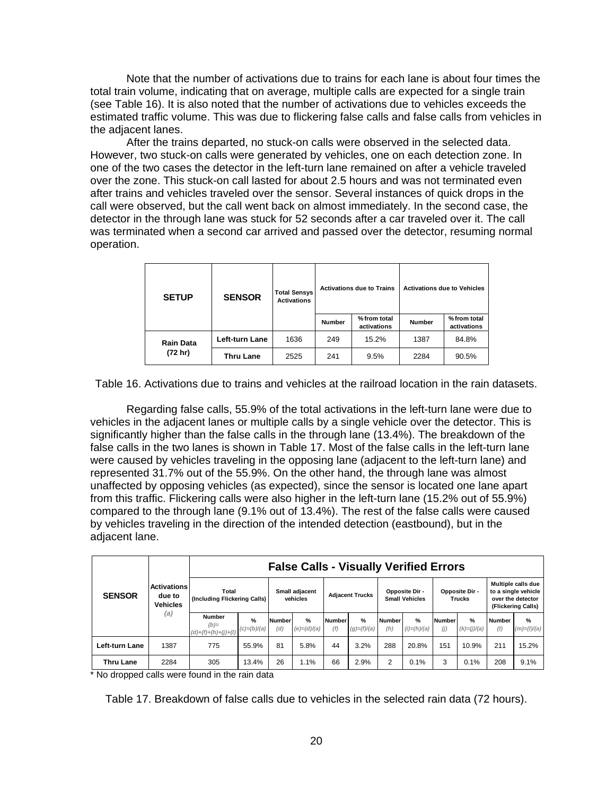Note that the number of activations due to trains for each lane is about four times the total train volume, indicating that on average, multiple calls are expected for a single train (see Table 16). It is also noted that the number of activations due to vehicles exceeds the estimated traffic volume. This was due to flickering false calls and false calls from vehicles in the adjacent lanes.

After the trains departed, no stuck-on calls were observed in the selected data. However, two stuck-on calls were generated by vehicles, one on each detection zone. In one of the two cases the detector in the left-turn lane remained on after a vehicle traveled over the zone. This stuck-on call lasted for about 2.5 hours and was not terminated even after trains and vehicles traveled over the sensor. Several instances of quick drops in the call were observed, but the call went back on almost immediately. In the second case, the detector in the through lane was stuck for 52 seconds after a car traveled over it. The call was terminated when a second car arrived and passed over the detector, resuming normal operation.

| <b>SETUP</b>     | <b>SENSOR</b>    | <b>Total Sensys</b><br><b>Activations</b> |               | <b>Activations due to Trains</b> |               | <b>Activations due to Vehicles</b> |
|------------------|------------------|-------------------------------------------|---------------|----------------------------------|---------------|------------------------------------|
|                  |                  |                                           | <b>Number</b> | % from total<br>activations      | <b>Number</b> | % from total<br>activations        |
| <b>Rain Data</b> | Left-turn Lane   | 1636                                      | 249           | 15.2%                            | 1387          | 84.8%                              |
| (72 hr)          | <b>Thru Lane</b> | 2525                                      | 241           | 9.5%                             | 2284          | 90.5%                              |

Table 16. Activations due to trains and vehicles at the railroad location in the rain datasets.

 Regarding false calls, 55.9% of the total activations in the left-turn lane were due to vehicles in the adjacent lanes or multiple calls by a single vehicle over the detector. This is significantly higher than the false calls in the through lane (13.4%). The breakdown of the false calls in the two lanes is shown in Table 17. Most of the false calls in the left-turn lane were caused by vehicles traveling in the opposing lane (adjacent to the left-turn lane) and represented 31.7% out of the 55.9%. On the other hand, the through lane was almost unaffected by opposing vehicles (as expected), since the sensor is located one lane apart from this traffic. Flickering calls were also higher in the left-turn lane (15.2% out of 55.9%) compared to the through lane (9.1% out of 13.4%). The rest of the false calls were caused by vehicles traveling in the direction of the intended detection (eastbound), but in the adjacent lane.

| <b>SENSOR</b>    |                                                 |                                                  |                                |                      | <b>False Calls - Visually Verified Errors</b> |                      |                                |                      |                                         |               |                                 |                      |                                                                                      |
|------------------|-------------------------------------------------|--------------------------------------------------|--------------------------------|----------------------|-----------------------------------------------|----------------------|--------------------------------|----------------------|-----------------------------------------|---------------|---------------------------------|----------------------|--------------------------------------------------------------------------------------|
|                  | <b>Activations</b><br>due to<br>Vehicles<br>(a) | Total<br>(Including Flickering Calls)            |                                |                      | Small adjacent<br>vehicles                    |                      | <b>Adjacent Trucks</b>         |                      | Opposite Dir -<br><b>Small Vehicles</b> |               | Opposite Dir -<br><b>Trucks</b> |                      | Multiple calls due<br>to a single vehicle<br>over the detector<br>(Flickering Calls) |
|                  |                                                 | <b>Number</b><br>$(b)=$<br>$(d)+(f)+(h)+(j)+(l)$ | $\frac{9}{6}$<br>$(c)=(b)/(a)$ | <b>Number</b><br>(d) | $\frac{9}{6}$<br>$(e) = (d)/(a)$              | <b>Number</b><br>(f) | $\frac{9}{6}$<br>$(g)=(f)/(a)$ | <b>Number</b><br>(h) | $\frac{9}{6}$<br>$(i) = (h)/(a)$        | Number<br>(j) | $\frac{9}{6}$<br>$(k)=(j)/(a)$  | <b>Number</b><br>(1) | %<br>$(m)=(1)/(a)$                                                                   |
| Left-turn Lane   | 1387                                            | 775                                              | 55.9%                          | 81                   | 5.8%                                          | 44                   | 3.2%                           | 288                  | 20.8%                                   | 151           | 10.9%                           | 211                  | 15.2%                                                                                |
| <b>Thru Lane</b> | 2284                                            | 305                                              | 13.4%                          | 26                   | 1.1%                                          | 66                   | 2.9%                           | $\overline{2}$       | 0.1%                                    | 3             | 0.1%                            | 208                  | 9.1%                                                                                 |

\* No dropped calls were found in the rain data

Table 17. Breakdown of false calls due to vehicles in the selected rain data (72 hours).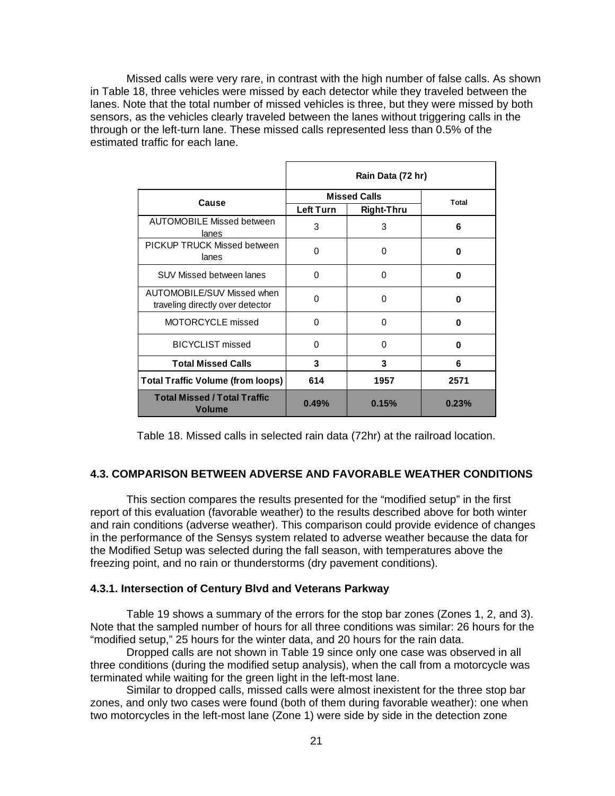Missed calls were very rare, in contrast with the high number of false calls. As shown in Table 18, three vehicles were missed by each detector while they traveled between the lanes. Note that the total number of missed vehicles is three, but they were missed by both sensors, as the vehicles clearly traveled between the lanes without triggering calls in the through or the left-turn lane. These missed calls represented less than 0.5% of the estimated traffic for each lane.

|                                                                |           | Rain Data (72 hr)   |       |
|----------------------------------------------------------------|-----------|---------------------|-------|
| Cause                                                          |           | <b>Missed Calls</b> | Total |
|                                                                | Left Turn | Right-Thru          |       |
| <b>AUTOMOBILE Missed between</b><br>lanes                      | 3         | 3                   | 6     |
| <b>PICKUP TRUCK Missed between</b><br>lanes                    | 0         | 0                   | 0     |
| <b>SUV Missed between lanes</b>                                | $\Omega$  | 0                   | 0     |
| AUTOMOBILE/SUV Missed when<br>traveling directly over detector | 0         | 0                   | 0     |
| MOTORCYCLE missed                                              | $\Omega$  | 0                   | O     |
| <b>BICYCLIST missed</b>                                        | $\Omega$  | 0                   | 0     |
| <b>Total Missed Calls</b>                                      | 3         | 3                   | 6     |
| <b>Total Traffic Volume (from loops)</b>                       | 614       | 1957                | 2571  |
| <b>Total Missed / Total Traffic</b><br><b>Volume</b>           | 0.49%     | 0.15%               | 0.23% |

Table 18. Missed calls in selected rain data (72hr) at the railroad location.

#### **4.3. COMPARISON BETWEEN ADVERSE AND FAVORABLE WEATHER CONDITIONS**

This section compares the results presented for the "modified setup" in the first report of this evaluation (favorable weather) to the results described above for both winter and rain conditions (adverse weather). This comparison could provide evidence of changes in the performance of the Sensys system related to adverse weather because the data for the Modified Setup was selected during the fall season, with temperatures above the freezing point, and no rain or thunderstorms (dry pavement conditions).

#### **4.3.1. Intersection of Century Blvd and Veterans Parkway**

Table 19 shows a summary of the errors for the stop bar zones (Zones 1, 2, and 3). Note that the sampled number of hours for all three conditions was similar: 26 hours for the "modified setup," 25 hours for the winter data, and 20 hours for the rain data.

Dropped calls are not shown in Table 19 since only one case was observed in all three conditions (during the modified setup analysis), when the call from a motorcycle was terminated while waiting for the green light in the left-most lane.

 Similar to dropped calls, missed calls were almost inexistent for the three stop bar zones, and only two cases were found (both of them during favorable weather): one when two motorcycles in the left-most lane (Zone 1) were side by side in the detection zone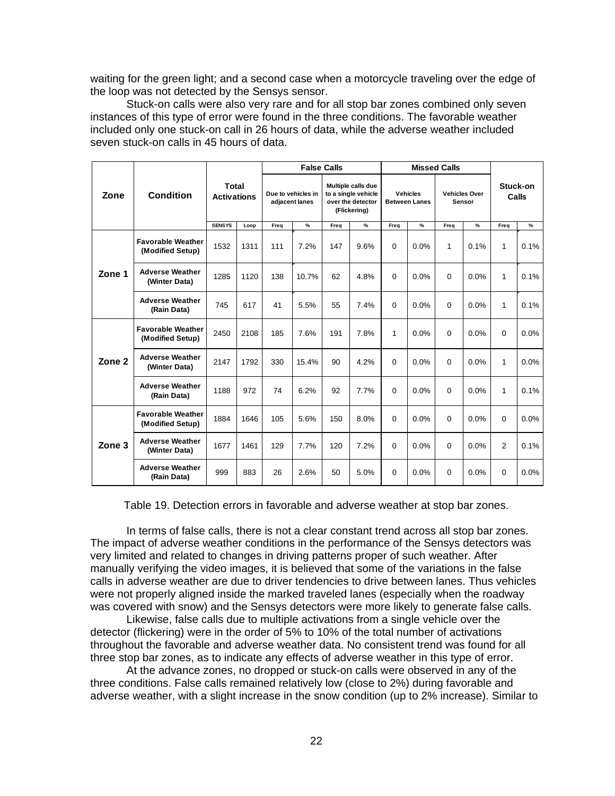waiting for the green light; and a second case when a motorcycle traveling over the edge of the loop was not detected by the Sensys sensor.

Stuck-on calls were also very rare and for all stop bar zones combined only seven instances of this type of error were found in the three conditions. The favorable weather included only one stuck-on call in 26 hours of data, while the adverse weather included seven stuck-on calls in 45 hours of data.

|                   |                                              |                                    |      |                                      | <b>False Calls</b> |      |                                                                                |             |                                         | <b>Missed Calls</b> |                                |                |                   |
|-------------------|----------------------------------------------|------------------------------------|------|--------------------------------------|--------------------|------|--------------------------------------------------------------------------------|-------------|-----------------------------------------|---------------------|--------------------------------|----------------|-------------------|
| Zone              | <b>Condition</b>                             | <b>Total</b><br><b>Activations</b> |      | Due to vehicles in<br>adjacent lanes |                    |      | Multiple calls due<br>to a single vehicle<br>over the detector<br>(Flickering) |             | <b>Vehicles</b><br><b>Between Lanes</b> |                     | <b>Vehicles Over</b><br>Sensor |                | Stuck-on<br>Calls |
|                   |                                              | <b>SENSYS</b>                      | Loop | Freq                                 | $\%$               | Freq | %                                                                              | Freq        | %                                       | Freq                | %                              | Freq           | $\%$              |
|                   | <b>Favorable Weather</b><br>(Modified Setup) | 1532                               | 1311 | 111                                  | 7.2%               | 147  | 9.6%                                                                           | $\Omega$    | 0.0%                                    | 1                   | 0.1%                           | 1              | 0.1%              |
| Zone 1            | <b>Adverse Weather</b><br>(Winter Data)      | 1285                               | 1120 | 138                                  | 10.7%              | 62   | 4.8%                                                                           | $\Omega$    | 0.0%                                    | 0                   | 0.0%                           | 1              | 0.1%              |
|                   | <b>Adverse Weather</b><br>(Rain Data)        | 745                                | 617  | 41                                   | 5.5%               | 55   | 7.4%                                                                           | $\Omega$    | 0.0%                                    | 0                   | 0.0%                           | 1              | 0.1%              |
|                   | <b>Favorable Weather</b><br>(Modified Setup) | 2450                               | 2108 | 185                                  | 7.6%               | 191  | 7.8%                                                                           | 1           | 0.0%                                    | 0                   | 0.0%                           | 0              | 0.0%              |
| Zone <sub>2</sub> | <b>Adverse Weather</b><br>(Winter Data)      | 2147                               | 1792 | 330                                  | 15.4%              | 90   | 4.2%                                                                           | $\Omega$    | 0.0%                                    | 0                   | 0.0%                           | 1              | $0.0\%$           |
|                   | <b>Adverse Weather</b><br>(Rain Data)        | 1188                               | 972  | 74                                   | 6.2%               | 92   | 7.7%                                                                           | $\mathbf 0$ | 0.0%                                    | 0                   | 0.0%                           | 1              | 0.1%              |
|                   | <b>Favorable Weather</b><br>(Modified Setup) | 1884                               | 1646 | 105                                  | 5.6%               | 150  | 8.0%                                                                           | $\mathbf 0$ | 0.0%                                    | 0                   | 0.0%                           | 0              | 0.0%              |
| Zone 3            | <b>Adverse Weather</b><br>(Winter Data)      | 1677                               | 1461 | 129                                  | 7.7%               | 120  | 7.2%                                                                           | $\Omega$    | 0.0%                                    | 0                   | 0.0%                           | $\overline{2}$ | 0.1%              |
|                   | <b>Adverse Weather</b><br>(Rain Data)        | 999                                | 883  | 26                                   | 2.6%               | 50   | 5.0%                                                                           | 0           | 0.0%                                    | 0                   | 0.0%                           | $\Omega$       | 0.0%              |

Table 19. Detection errors in favorable and adverse weather at stop bar zones.

 In terms of false calls, there is not a clear constant trend across all stop bar zones. The impact of adverse weather conditions in the performance of the Sensys detectors was very limited and related to changes in driving patterns proper of such weather. After manually verifying the video images, it is believed that some of the variations in the false calls in adverse weather are due to driver tendencies to drive between lanes. Thus vehicles were not properly aligned inside the marked traveled lanes (especially when the roadway was covered with snow) and the Sensys detectors were more likely to generate false calls.

Likewise, false calls due to multiple activations from a single vehicle over the detector (flickering) were in the order of 5% to 10% of the total number of activations throughout the favorable and adverse weather data. No consistent trend was found for all three stop bar zones, as to indicate any effects of adverse weather in this type of error.

At the advance zones, no dropped or stuck-on calls were observed in any of the three conditions. False calls remained relatively low (close to 2%) during favorable and adverse weather, with a slight increase in the snow condition (up to 2% increase). Similar to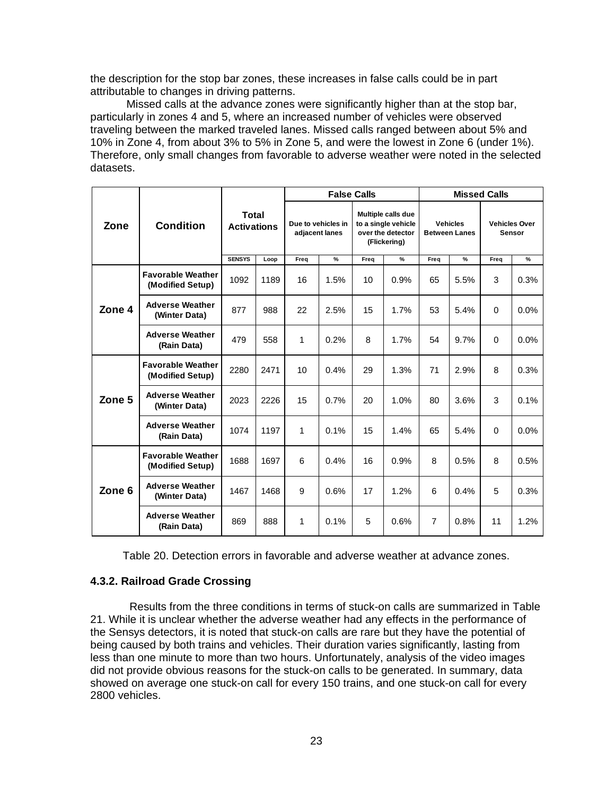the description for the stop bar zones, these increases in false calls could be in part attributable to changes in driving patterns.

Missed calls at the advance zones were significantly higher than at the stop bar, particularly in zones 4 and 5, where an increased number of vehicles were observed traveling between the marked traveled lanes. Missed calls ranged between about 5% and 10% in Zone 4, from about 3% to 5% in Zone 5, and were the lowest in Zone 6 (under 1%). Therefore, only small changes from favorable to adverse weather were noted in the selected datasets.

|        |                                              |                             |      |                                      | <b>False Calls</b> |      |                                                                                | <b>Missed Calls</b> |                                         |                                       |      |
|--------|----------------------------------------------|-----------------------------|------|--------------------------------------|--------------------|------|--------------------------------------------------------------------------------|---------------------|-----------------------------------------|---------------------------------------|------|
| Zone   | <b>Condition</b>                             | Total<br><b>Activations</b> |      | Due to vehicles in<br>adjacent lanes |                    |      | Multiple calls due<br>to a single vehicle<br>over the detector<br>(Flickering) |                     | <b>Vehicles</b><br><b>Between Lanes</b> | <b>Vehicles Over</b><br><b>Sensor</b> |      |
|        |                                              | <b>SENSYS</b>               | Loop | Freq                                 | %                  | Freq | $\frac{9}{6}$                                                                  | Freq                | $\%$                                    | Freq                                  | %    |
|        | <b>Favorable Weather</b><br>(Modified Setup) | 1092                        | 1189 | 16                                   | 1.5%               | 10   | 0.9%                                                                           | 65                  | 5.5%                                    | 3                                     | 0.3% |
| Zone 4 | <b>Adverse Weather</b><br>(Winter Data)      | 877                         | 988  | 22                                   | 2.5%               | 15   | 1.7%                                                                           | 53                  | 5.4%                                    | $\Omega$                              | 0.0% |
|        | <b>Adverse Weather</b><br>(Rain Data)        | 479                         | 558  | 1                                    | 0.2%               | 8    | 1.7%                                                                           | 54                  | 9.7%                                    | $\Omega$                              | 0.0% |
|        | <b>Favorable Weather</b><br>(Modified Setup) | 2280                        | 2471 | 10                                   | 0.4%               | 29   | 1.3%                                                                           | 71                  | 2.9%                                    | 8                                     | 0.3% |
| Zone 5 | <b>Adverse Weather</b><br>(Winter Data)      | 2023                        | 2226 | 15                                   | 0.7%               | 20   | 1.0%                                                                           | 80                  | 3.6%                                    | 3                                     | 0.1% |
|        | <b>Adverse Weather</b><br>(Rain Data)        | 1074                        | 1197 | 1                                    | 0.1%               | 15   | 1.4%                                                                           | 65                  | 5.4%                                    | $\Omega$                              | 0.0% |
|        | <b>Favorable Weather</b><br>(Modified Setup) | 1688                        | 1697 | 6                                    | 0.4%               | 16   | 0.9%                                                                           | 8                   | 0.5%                                    | 8                                     | 0.5% |
| Zone 6 | <b>Adverse Weather</b><br>(Winter Data)      | 1467                        | 1468 | 9                                    | 0.6%               | 17   | 1.2%                                                                           | 6                   | 0.4%                                    | 5                                     | 0.3% |
|        | <b>Adverse Weather</b><br>(Rain Data)        | 869                         | 888  | 1                                    | 0.1%               | 5    | 0.6%                                                                           | $\overline{7}$      | 0.8%                                    | 11                                    | 1.2% |

Table 20. Detection errors in favorable and adverse weather at advance zones.

#### **4.3.2. Railroad Grade Crossing**

 Results from the three conditions in terms of stuck-on calls are summarized in Table 21. While it is unclear whether the adverse weather had any effects in the performance of the Sensys detectors, it is noted that stuck-on calls are rare but they have the potential of being caused by both trains and vehicles. Their duration varies significantly, lasting from less than one minute to more than two hours. Unfortunately, analysis of the video images did not provide obvious reasons for the stuck-on calls to be generated. In summary, data showed on average one stuck-on call for every 150 trains, and one stuck-on call for every 2800 vehicles.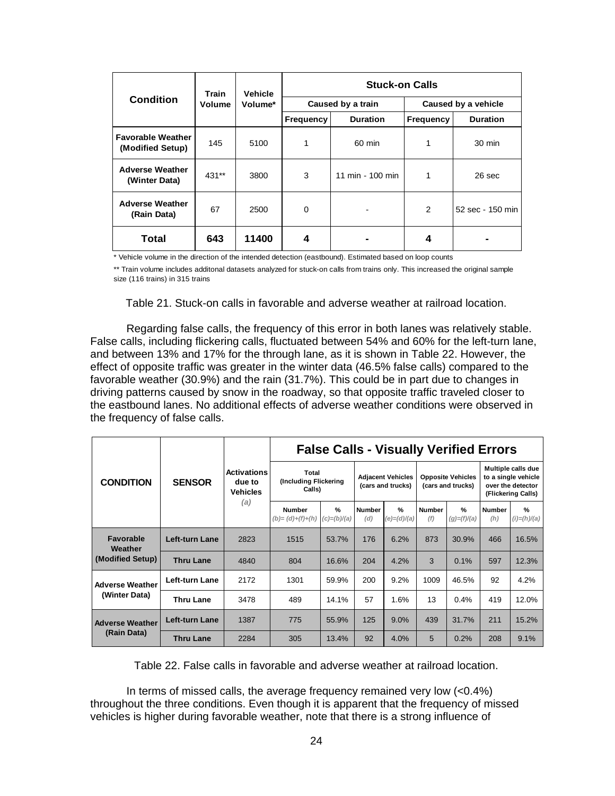|                                              | Train         | <b>Vehicle</b> | <b>Stuck-on Calls</b> |                   |                  |                     |  |  |  |  |  |
|----------------------------------------------|---------------|----------------|-----------------------|-------------------|------------------|---------------------|--|--|--|--|--|
| <b>Condition</b>                             | <b>Volume</b> | Volume*        |                       | Caused by a train |                  | Caused by a vehicle |  |  |  |  |  |
|                                              |               |                | <b>Frequency</b>      | <b>Duration</b>   | <b>Frequency</b> | <b>Duration</b>     |  |  |  |  |  |
| <b>Favorable Weather</b><br>(Modified Setup) | 145           | 5100           | 1                     | 60 min            | 1                | 30 min              |  |  |  |  |  |
| <b>Adverse Weather</b><br>(Winter Data)      | $431**$       | 3800           | 3                     | 11 min - 100 min  | 1                | 26 sec              |  |  |  |  |  |
| <b>Adverse Weather</b><br>(Rain Data)        | 67            | 2500           | 0                     |                   | $\overline{2}$   | 52 sec - 150 min    |  |  |  |  |  |
| Total                                        | 643           | 11400          | 4                     |                   | 4                |                     |  |  |  |  |  |

\* Vehicle volume in the direction of the intended detection (eastbound). Estimated based on loop counts

\*\* Train volume includes additonal datasets analyzed for stuck-on calls from trains only. This increased the original sample size (116 trains) in 315 trains

Table 21. Stuck-on calls in favorable and adverse weather at railroad location.

Regarding false calls, the frequency of this error in both lanes was relatively stable. False calls, including flickering calls, fluctuated between 54% and 60% for the left-turn lane, and between 13% and 17% for the through lane, as it is shown in Table 22. However, the effect of opposite traffic was greater in the winter data (46.5% false calls) compared to the favorable weather (30.9%) and the rain (31.7%). This could be in part due to changes in driving patterns caused by snow in the roadway, so that opposite traffic traveled closer to the eastbound lanes. No additional effects of adverse weather conditions were observed in the frequency of false calls.

|                                          | <b>SENSOR</b>         | <b>Activations</b><br>due to<br><b>Vehicles</b> | <b>False Calls - Visually Verified Errors</b> |                                |                                               |                              |                                               |                                |                                                                                      |                                |
|------------------------------------------|-----------------------|-------------------------------------------------|-----------------------------------------------|--------------------------------|-----------------------------------------------|------------------------------|-----------------------------------------------|--------------------------------|--------------------------------------------------------------------------------------|--------------------------------|
| <b>CONDITION</b>                         |                       |                                                 | Total<br>(Including Flickering<br>Calls)      |                                | <b>Adjacent Vehicles</b><br>(cars and trucks) |                              | <b>Opposite Vehicles</b><br>(cars and trucks) |                                | Multiple calls due<br>to a single vehicle<br>over the detector<br>(Flickering Calls) |                                |
|                                          |                       | (a)                                             | <b>Number</b><br>$(b)=(d)+(f)+(h)$            | $\frac{9}{6}$<br>$(c)=(b)/(a)$ | <b>Number</b><br>(d)                          | $\frac{9}{6}$<br>(e)=(d)/(a) | <b>Number</b><br>(f)                          | $\frac{9}{6}$<br>$(g)=(f)/(a)$ | <b>Number</b><br>(h)                                                                 | $\frac{9}{6}$<br>$(i)=(h)/(a)$ |
| Favorable<br>Weather<br>(Modified Setup) | Left-turn Lane        | 2823                                            | 1515                                          | 53.7%                          | 176                                           | 6.2%                         | 873                                           | 30.9%                          | 466                                                                                  | 16.5%                          |
|                                          | Thru Lane             | 4840                                            | 804                                           | 16.6%                          | 204                                           | 4.2%                         | 3                                             | 0.1%                           | 597                                                                                  | 12.3%                          |
| <b>Adverse Weather</b><br>(Winter Data)  | Left-turn Lane        | 2172                                            | 1301                                          | 59.9%                          | 200                                           | 9.2%                         | 1009                                          | 46.5%                          | 92                                                                                   | 4.2%                           |
|                                          | Thru Lane             | 3478                                            | 489                                           | 14.1%                          | 57                                            | 1.6%                         | 13                                            | 0.4%                           | 419                                                                                  | 12.0%                          |
| <b>Adverse Weather</b><br>(Rain Data)    | <b>Left-turn Lane</b> | 1387                                            | 775                                           | 55.9%                          | 125                                           | 9.0%                         | 439                                           | 31.7%                          | 211                                                                                  | 15.2%                          |
|                                          | <b>Thru Lane</b>      | 2284                                            | 305                                           | 13.4%                          | 92                                            | 4.0%                         | 5                                             | 0.2%                           | 208                                                                                  | 9.1%                           |

Table 22. False calls in favorable and adverse weather at railroad location.

In terms of missed calls, the average frequency remained very low (<0.4%) throughout the three conditions. Even though it is apparent that the frequency of missed vehicles is higher during favorable weather, note that there is a strong influence of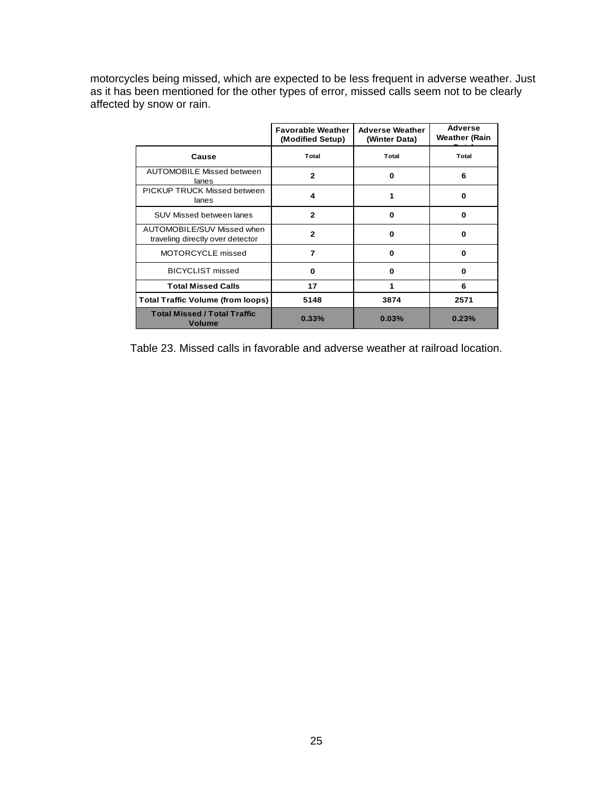motorcycles being missed, which are expected to be less frequent in adverse weather. Just as it has been mentioned for the other types of error, missed calls seem not to be clearly affected by snow or rain.

|                                                                | <b>Favorable Weather</b><br>(Modified Setup) | <b>Adverse Weather</b><br>(Winter Data) | Adverse<br>Weather (Rain |  |
|----------------------------------------------------------------|----------------------------------------------|-----------------------------------------|--------------------------|--|
| Cause                                                          | Total                                        | Total                                   | Total                    |  |
| <b>AUTOMOBILE Missed between</b><br>lanes                      | $\mathbf{2}$                                 | 0                                       | 6                        |  |
| PICKUP TRUCK Missed between<br>lanes                           | 4                                            | 1                                       | 0                        |  |
| SUV Missed between lanes                                       | $\overline{2}$                               | 0                                       | 0                        |  |
| AUTOMOBILE/SUV Missed when<br>traveling directly over detector | $\mathbf{2}$                                 | o                                       | 0                        |  |
| MOTORCYCLE missed                                              | 7                                            | ŋ                                       | 0                        |  |
| <b>BICYCLIST missed</b>                                        | 0                                            | 0                                       | 0                        |  |
| <b>Total Missed Calls</b>                                      | 17                                           |                                         | 6                        |  |
| <b>Total Traffic Volume (from loops)</b>                       | 5148                                         | 3874                                    | 2571                     |  |
| <b>Total Missed / Total Traffic</b><br><b>Volume</b>           | 0.33%                                        | 0.03%                                   | 0.23%                    |  |

Table 23. Missed calls in favorable and adverse weather at railroad location.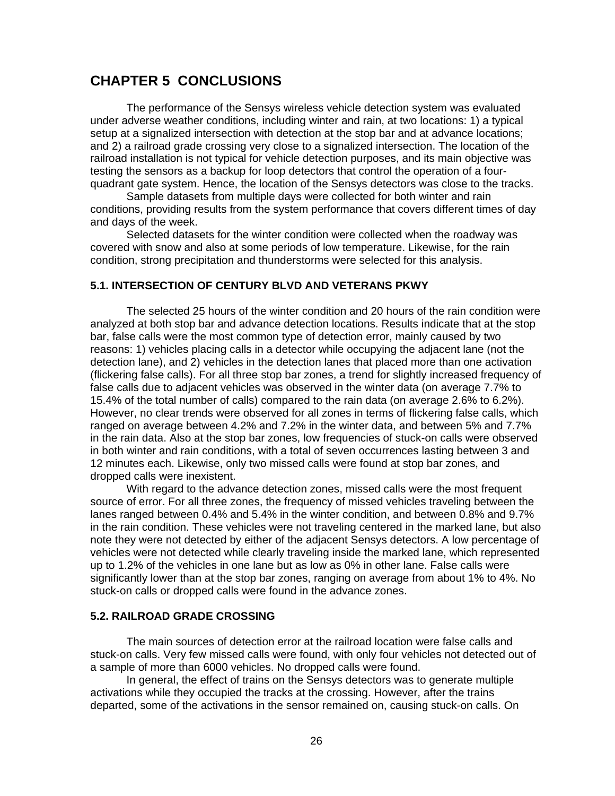## **CHAPTER 5 CONCLUSIONS**

The performance of the Sensys wireless vehicle detection system was evaluated under adverse weather conditions, including winter and rain, at two locations: 1) a typical setup at a signalized intersection with detection at the stop bar and at advance locations; and 2) a railroad grade crossing very close to a signalized intersection. The location of the railroad installation is not typical for vehicle detection purposes, and its main objective was testing the sensors as a backup for loop detectors that control the operation of a fourquadrant gate system. Hence, the location of the Sensys detectors was close to the tracks.

 Sample datasets from multiple days were collected for both winter and rain conditions, providing results from the system performance that covers different times of day and days of the week.

 Selected datasets for the winter condition were collected when the roadway was covered with snow and also at some periods of low temperature. Likewise, for the rain condition, strong precipitation and thunderstorms were selected for this analysis.

#### **5.1. INTERSECTION OF CENTURY BLVD AND VETERANS PKWY**

The selected 25 hours of the winter condition and 20 hours of the rain condition were analyzed at both stop bar and advance detection locations. Results indicate that at the stop bar, false calls were the most common type of detection error, mainly caused by two reasons: 1) vehicles placing calls in a detector while occupying the adjacent lane (not the detection lane), and 2) vehicles in the detection lanes that placed more than one activation (flickering false calls). For all three stop bar zones, a trend for slightly increased frequency of false calls due to adjacent vehicles was observed in the winter data (on average 7.7% to 15.4% of the total number of calls) compared to the rain data (on average 2.6% to 6.2%). However, no clear trends were observed for all zones in terms of flickering false calls, which ranged on average between 4.2% and 7.2% in the winter data, and between 5% and 7.7% in the rain data. Also at the stop bar zones, low frequencies of stuck-on calls were observed in both winter and rain conditions, with a total of seven occurrences lasting between 3 and 12 minutes each. Likewise, only two missed calls were found at stop bar zones, and dropped calls were inexistent.

 With regard to the advance detection zones, missed calls were the most frequent source of error. For all three zones, the frequency of missed vehicles traveling between the lanes ranged between 0.4% and 5.4% in the winter condition, and between 0.8% and 9.7% in the rain condition. These vehicles were not traveling centered in the marked lane, but also note they were not detected by either of the adjacent Sensys detectors. A low percentage of vehicles were not detected while clearly traveling inside the marked lane, which represented up to 1.2% of the vehicles in one lane but as low as 0% in other lane. False calls were significantly lower than at the stop bar zones, ranging on average from about 1% to 4%. No stuck-on calls or dropped calls were found in the advance zones.

#### **5.2. RAILROAD GRADE CROSSING**

The main sources of detection error at the railroad location were false calls and stuck-on calls. Very few missed calls were found, with only four vehicles not detected out of a sample of more than 6000 vehicles. No dropped calls were found.

 In general, the effect of trains on the Sensys detectors was to generate multiple activations while they occupied the tracks at the crossing. However, after the trains departed, some of the activations in the sensor remained on, causing stuck-on calls. On